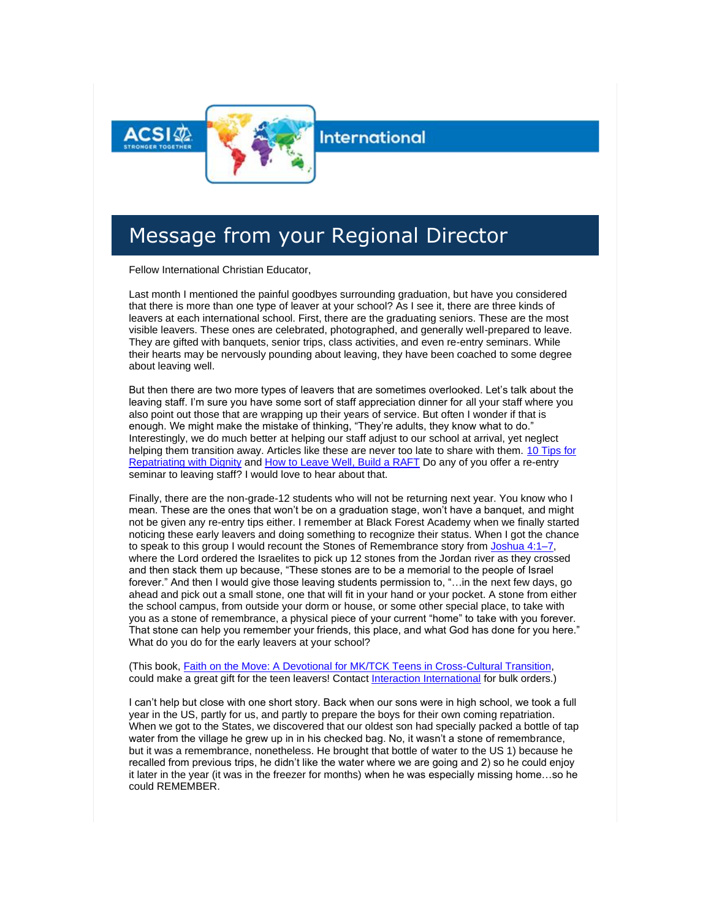

#### **International**

#### Message from your Regional Director

Fellow International Christian Educator,

Last month I mentioned the painful goodbyes surrounding graduation, but have you considered that there is more than one type of leaver at your school? As I see it, there are three kinds of leavers at each international school. First, there are the graduating seniors. These are the most visible leavers. These ones are celebrated, photographed, and generally well-prepared to leave. They are gifted with banquets, senior trips, class activities, and even re-entry seminars. While their hearts may be nervously pounding about leaving, they have been coached to some degree about leaving well.

But then there are two more types of leavers that are sometimes overlooked. Let's talk about the leaving staff. I'm sure you have some sort of staff appreciation dinner for all your staff where you also point out those that are wrapping up their years of service. But often I wonder if that is enough. We might make the mistake of thinking, "They're adults, they know what to do." Interestingly, we do much better at helping our staff adjust to our school at arrival, yet neglect helping them transition away. Articles like these are never too late to share with them. [10 Tips for](http://link.acsi.org/c/7/eyJhaSI6ODcyOTMzMTMsImUiOiJ0aW1fc2h1bWFuQGFjc2kub3JnIiwicmkiOiJjb250YWN0LTViOGU4OGI4M2I2M2U4MTE4MGQwMDJiZmMwYTgwMTcyLWM0ZDhhMDJlMzY4ZjQ0YWE4YWI3ZTA0NTc5MjE0MjdmIiwicnEiOiIwMi1iMjIxNTgtNDJmNGUyMDFlZWRlNDM3ZDgwY2FlNzVhMWMyZDFmZGIiLCJwaCI6bnVsbCwibSI6dHJ1ZSwidWkiOiIyIiwidW4iOiIiLCJ1IjoiaHR0cHM6Ly93d3cuYWxpZmVvdmVyc2Vhcy5jb20vbGVhdmluZy13ZWxsLTEwLXRpcHMtZm9yLXJlcGF0cmlhdGluZy13aXRoLWRpZ25pdHkvP19jbGRlZT1qZXpDbmstV3hsZEdRQUVPNHdrZF84ak5lcHA0OWxnNzhOdGx6ZExGdkswOThlUW04TGdMMGVWcjdqc2pXbmVpJnJlY2lwaWVudGlkPWNvbnRhY3QtNWI4ZTg4YjgzYjYzZTgxMTgwZDAwMmJmYzBhODAxNzItYzRkOGEwMmUzNjhmNDRhYThhYjdlMDQ1NzkyMTQyN2YmZXNpZD0zMzdiOGYyNS05ZWUyLWVjMTEtODExYy0wMDBkM2EwMWNmZDMifQ/B3ewLWUfU1XTiNeQytJ1yA)  [Repatriating with Dignity](http://link.acsi.org/c/7/eyJhaSI6ODcyOTMzMTMsImUiOiJ0aW1fc2h1bWFuQGFjc2kub3JnIiwicmkiOiJjb250YWN0LTViOGU4OGI4M2I2M2U4MTE4MGQwMDJiZmMwYTgwMTcyLWM0ZDhhMDJlMzY4ZjQ0YWE4YWI3ZTA0NTc5MjE0MjdmIiwicnEiOiIwMi1iMjIxNTgtNDJmNGUyMDFlZWRlNDM3ZDgwY2FlNzVhMWMyZDFmZGIiLCJwaCI6bnVsbCwibSI6dHJ1ZSwidWkiOiIyIiwidW4iOiIiLCJ1IjoiaHR0cHM6Ly93d3cuYWxpZmVvdmVyc2Vhcy5jb20vbGVhdmluZy13ZWxsLTEwLXRpcHMtZm9yLXJlcGF0cmlhdGluZy13aXRoLWRpZ25pdHkvP19jbGRlZT1qZXpDbmstV3hsZEdRQUVPNHdrZF84ak5lcHA0OWxnNzhOdGx6ZExGdkswOThlUW04TGdMMGVWcjdqc2pXbmVpJnJlY2lwaWVudGlkPWNvbnRhY3QtNWI4ZTg4YjgzYjYzZTgxMTgwZDAwMmJmYzBhODAxNzItYzRkOGEwMmUzNjhmNDRhYThhYjdlMDQ1NzkyMTQyN2YmZXNpZD0zMzdiOGYyNS05ZWUyLWVjMTEtODExYy0wMDBkM2EwMWNmZDMifQ/B3ewLWUfU1XTiNeQytJ1yA) and [How to Leave Well, Build a RAFT](http://link.acsi.org/c/7/eyJhaSI6ODcyOTMzMTMsImUiOiJ0aW1fc2h1bWFuQGFjc2kub3JnIiwicmkiOiJjb250YWN0LTViOGU4OGI4M2I2M2U4MTE4MGQwMDJiZmMwYTgwMTcyLWM0ZDhhMDJlMzY4ZjQ0YWE4YWI3ZTA0NTc5MjE0MjdmIiwicnEiOiIwMi1iMjIxNTgtNDJmNGUyMDFlZWRlNDM3ZDgwY2FlNzVhMWMyZDFmZGIiLCJwaCI6bnVsbCwibSI6dHJ1ZSwidWkiOiIzIiwidW4iOiIiLCJ1IjoiaHR0cHM6Ly9yYWlzaW5ndGNrcy5jb20vMjAxNC8wNS8yNi9ob3ctdG8tbGVhdmUtd2VsbC1idWlsZC1hLXJhZnQvP19jbGRlZT1qZXpDbmstV3hsZEdRQUVPNHdrZF84ak5lcHA0OWxnNzhOdGx6ZExGdkswOThlUW04TGdMMGVWcjdqc2pXbmVpJnJlY2lwaWVudGlkPWNvbnRhY3QtNWI4ZTg4YjgzYjYzZTgxMTgwZDAwMmJmYzBhODAxNzItYzRkOGEwMmUzNjhmNDRhYThhYjdlMDQ1NzkyMTQyN2YmZXNpZD0zMzdiOGYyNS05ZWUyLWVjMTEtODExYy0wMDBkM2EwMWNmZDMifQ/Ygou-eLukF4T1zSFu2DAxw) Do any of you offer a re-entry seminar to leaving staff? I would love to hear about that.

Finally, there are the non-grade-12 students who will not be returning next year. You know who I mean. These are the ones that won't be on a graduation stage, won't have a banquet, and might not be given any re-entry tips either. I remember at Black Forest Academy when we finally started noticing these early leavers and doing something to recognize their status. When I got the chance to speak to this group I would recount the Stones of Remembrance story from [Joshua 4:1–7,](http://link.acsi.org/c/7/eyJhaSI6ODcyOTMzMTMsImUiOiJ0aW1fc2h1bWFuQGFjc2kub3JnIiwicmkiOiJjb250YWN0LTViOGU4OGI4M2I2M2U4MTE4MGQwMDJiZmMwYTgwMTcyLWM0ZDhhMDJlMzY4ZjQ0YWE4YWI3ZTA0NTc5MjE0MjdmIiwicnEiOiIwMi1iMjIxNTgtNDJmNGUyMDFlZWRlNDM3ZDgwY2FlNzVhMWMyZDFmZGIiLCJwaCI6bnVsbCwibSI6dHJ1ZSwidWkiOiI0IiwidW4iOiIiLCJ1IjoiaHR0cHM6Ly93d3cuYmlibGVnYXRld2F5LmNvbS9wYXNzYWdlLz9zZWFyY2g9Sm9zaHVhKzQmdmVyc2lvbj1OSVYmX2NsZGVlPWplekNuay1XeGxkR1FBRU80d2tkXzhqTmVwcDQ5bGc3OE50bHpkTEZ2SzA5OGVRbThMZ0wwZVZyN2pzalduZWkmcmVjaXBpZW50aWQ9Y29udGFjdC01YjhlODhiODNiNjNlODExODBkMDAyYmZjMGE4MDE3Mi1jNGQ4YTAyZTM2OGY0NGFhOGFiN2UwNDU3OTIxNDI3ZiZlc2lkPTMzN2I4ZjI1LTllZTItZWMxMS04MTFjLTAwMGQzYTAxY2ZkMyJ9/ZZOf893rNDtLNIRMwayV2Q) where the Lord ordered the Israelites to pick up 12 stones from the Jordan river as they crossed and then stack them up because, "These stones are to be a memorial to the people of Israel forever." And then I would give those leaving students permission to, "…in the next few days, go ahead and pick out a small stone, one that will fit in your hand or your pocket. A stone from either the school campus, from outside your dorm or house, or some other special place, to take with you as a stone of remembrance, a physical piece of your current "home" to take with you forever. That stone can help you remember your friends, this place, and what God has done for you here." What do you do for the early leavers at your school?

(This book, [Faith on the Move: A Devotional for MK/TCK Teens in Cross-Cultural Transition,](http://link.acsi.org/c/7/eyJhaSI6ODcyOTMzMTMsImUiOiJ0aW1fc2h1bWFuQGFjc2kub3JnIiwicmkiOiJjb250YWN0LTViOGU4OGI4M2I2M2U4MTE4MGQwMDJiZmMwYTgwMTcyLWM0ZDhhMDJlMzY4ZjQ0YWE4YWI3ZTA0NTc5MjE0MjdmIiwicnEiOiIwMi1iMjIxNTgtNDJmNGUyMDFlZWRlNDM3ZDgwY2FlNzVhMWMyZDFmZGIiLCJwaCI6bnVsbCwibSI6dHJ1ZSwidWkiOiI1IiwidW4iOiIiLCJ1IjoiaHR0cHM6Ly93d3cuYW1hem9uLmNvbS9ncC9wcm9kdWN0L0IwOVdXQ0s1M1cvP19jbGRlZT1qZXpDbmstV3hsZEdRQUVPNHdrZF84ak5lcHA0OWxnNzhOdGx6ZExGdkswOThlUW04TGdMMGVWcjdqc2pXbmVpJnJlY2lwaWVudGlkPWNvbnRhY3QtNWI4ZTg4YjgzYjYzZTgxMTgwZDAwMmJmYzBhODAxNzItYzRkOGEwMmUzNjhmNDRhYThhYjdlMDQ1NzkyMTQyN2YmZXNpZD0zMzdiOGYyNS05ZWUyLWVjMTEtODExYy0wMDBkM2EwMWNmZDMifQ/5vJigJpvjtskVjf_qRN1uw) could make a great gift for the teen leavers! Contact [Interaction International](mailto:office@interactionintl.org) for bulk orders.)

I can't help but close with one short story. Back when our sons were in high school, we took a full year in the US, partly for us, and partly to prepare the boys for their own coming repatriation. When we got to the States, we discovered that our oldest son had specially packed a bottle of tap water from the village he grew up in in his checked bag. No, it wasn't a stone of remembrance, but it was a remembrance, nonetheless. He brought that bottle of water to the US 1) because he recalled from previous trips, he didn't like the water where we are going and 2) so he could enjoy it later in the year (it was in the freezer for months) when he was especially missing home…so he could REMEMBER.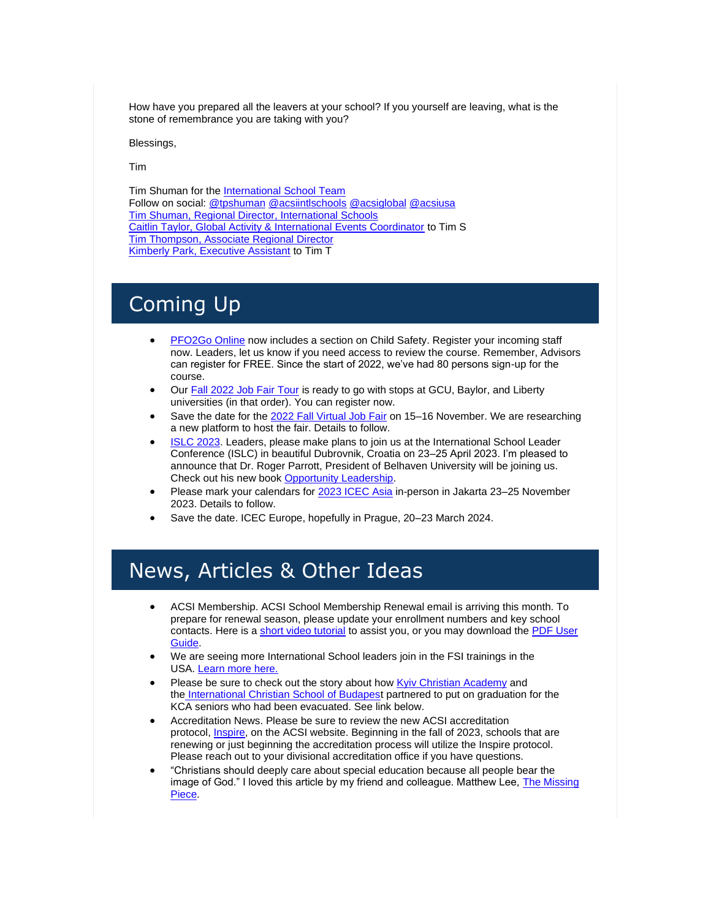How have you prepared all the leavers at your school? If you yourself are leaving, what is the stone of remembrance you are taking with you?

Blessings,

Tim

Tim Shuman for the [International School Team](http://link.acsi.org/c/7/eyJhaSI6ODcyOTMzMTMsImUiOiJ0aW1fc2h1bWFuQGFjc2kub3JnIiwicmkiOiJjb250YWN0LTViOGU4OGI4M2I2M2U4MTE4MGQwMDJiZmMwYTgwMTcyLWM0ZDhhMDJlMzY4ZjQ0YWE4YWI3ZTA0NTc5MjE0MjdmIiwicnEiOiIwMi1iMjIxNTgtNDJmNGUyMDFlZWRlNDM3ZDgwY2FlNzVhMWMyZDFmZGIiLCJwaCI6bnVsbCwibSI6dHJ1ZSwidWkiOiI2IiwidW4iOiIiLCJ1IjoiaHR0cHM6Ly9jb21tdW5pdHkuYWNzaS5vcmcvZ2xvYmFsL2ludGVybmF0aW9uYWwvaW50bHRlYW0_X2NsZGVlPWplekNuay1XeGxkR1FBRU80d2tkXzhqTmVwcDQ5bGc3OE50bHpkTEZ2SzA5OGVRbThMZ0wwZVZyN2pzalduZWkmcmVjaXBpZW50aWQ9Y29udGFjdC01YjhlODhiODNiNjNlODExODBkMDAyYmZjMGE4MDE3Mi1jNGQ4YTAyZTM2OGY0NGFhOGFiN2UwNDU3OTIxNDI3ZiZlc2lkPTMzN2I4ZjI1LTllZTItZWMxMS04MTFjLTAwMGQzYTAxY2ZkMyJ9/GcvRGcQJchWBrIR3WUNJjw) Follow on social: [@tpshuman](http://link.acsi.org/c/7/eyJhaSI6ODcyOTMzMTMsImUiOiJ0aW1fc2h1bWFuQGFjc2kub3JnIiwicmkiOiJjb250YWN0LTViOGU4OGI4M2I2M2U4MTE4MGQwMDJiZmMwYTgwMTcyLWM0ZDhhMDJlMzY4ZjQ0YWE4YWI3ZTA0NTc5MjE0MjdmIiwicnEiOiIwMi1iMjIxNTgtNDJmNGUyMDFlZWRlNDM3ZDgwY2FlNzVhMWMyZDFmZGIiLCJwaCI6bnVsbCwibSI6dHJ1ZSwidWkiOiI3IiwidW4iOiIiLCJ1IjoiaHR0cHM6Ly90d2l0dGVyLmNvbS90cHNodW1hbj9fY2xkZWU9amV6Q25rLVd4bGRHUUFFTzR3a2RfOGpOZXBwNDlsZzc4TnRsemRMRnZLMDk4ZVFtOExnTDBlVnI3anNqV25laSZyZWNpcGllbnRpZD1jb250YWN0LTViOGU4OGI4M2I2M2U4MTE4MGQwMDJiZmMwYTgwMTcyLWM0ZDhhMDJlMzY4ZjQ0YWE4YWI3ZTA0NTc5MjE0MjdmJmVzaWQ9MzM3YjhmMjUtOWVlMi1lYzExLTgxMWMtMDAwZDNhMDFjZmQzIn0/_Nvf8LbJtuZtmPlk4isBZg) [@acsiintlschools](http://link.acsi.org/c/7/eyJhaSI6ODcyOTMzMTMsImUiOiJ0aW1fc2h1bWFuQGFjc2kub3JnIiwicmkiOiJjb250YWN0LTViOGU4OGI4M2I2M2U4MTE4MGQwMDJiZmMwYTgwMTcyLWM0ZDhhMDJlMzY4ZjQ0YWE4YWI3ZTA0NTc5MjE0MjdmIiwicnEiOiIwMi1iMjIxNTgtNDJmNGUyMDFlZWRlNDM3ZDgwY2FlNzVhMWMyZDFmZGIiLCJwaCI6bnVsbCwibSI6dHJ1ZSwidWkiOiI4IiwidW4iOiIiLCJ1IjoiaHR0cHM6Ly90d2l0dGVyLmNvbS9BQ1NJSU5UTFNDSE9PTFM_X2NsZGVlPWplekNuay1XeGxkR1FBRU80d2tkXzhqTmVwcDQ5bGc3OE50bHpkTEZ2SzA5OGVRbThMZ0wwZVZyN2pzalduZWkmcmVjaXBpZW50aWQ9Y29udGFjdC01YjhlODhiODNiNjNlODExODBkMDAyYmZjMGE4MDE3Mi1jNGQ4YTAyZTM2OGY0NGFhOGFiN2UwNDU3OTIxNDI3ZiZlc2lkPTMzN2I4ZjI1LTllZTItZWMxMS04MTFjLTAwMGQzYTAxY2ZkMyJ9/y5VUxmMdoVxdGSbrVfDaSg) [@acsiglobal](http://link.acsi.org/c/7/eyJhaSI6ODcyOTMzMTMsImUiOiJ0aW1fc2h1bWFuQGFjc2kub3JnIiwicmkiOiJjb250YWN0LTViOGU4OGI4M2I2M2U4MTE4MGQwMDJiZmMwYTgwMTcyLWM0ZDhhMDJlMzY4ZjQ0YWE4YWI3ZTA0NTc5MjE0MjdmIiwicnEiOiIwMi1iMjIxNTgtNDJmNGUyMDFlZWRlNDM3ZDgwY2FlNzVhMWMyZDFmZGIiLCJwaCI6bnVsbCwibSI6dHJ1ZSwidWkiOiI5IiwidW4iOiIiLCJ1IjoiaHR0cHM6Ly90d2l0dGVyLmNvbS9BY3NpR2xvYmFsP19jbGRlZT1qZXpDbmstV3hsZEdRQUVPNHdrZF84ak5lcHA0OWxnNzhOdGx6ZExGdkswOThlUW04TGdMMGVWcjdqc2pXbmVpJnJlY2lwaWVudGlkPWNvbnRhY3QtNWI4ZTg4YjgzYjYzZTgxMTgwZDAwMmJmYzBhODAxNzItYzRkOGEwMmUzNjhmNDRhYThhYjdlMDQ1NzkyMTQyN2YmZXNpZD0zMzdiOGYyNS05ZWUyLWVjMTEtODExYy0wMDBkM2EwMWNmZDMifQ/1rKPNkDVMJZ-ROz0wgYbUA) [@acsiusa](http://link.acsi.org/c/7/eyJhaSI6ODcyOTMzMTMsImUiOiJ0aW1fc2h1bWFuQGFjc2kub3JnIiwicmkiOiJjb250YWN0LTViOGU4OGI4M2I2M2U4MTE4MGQwMDJiZmMwYTgwMTcyLWM0ZDhhMDJlMzY4ZjQ0YWE4YWI3ZTA0NTc5MjE0MjdmIiwicnEiOiIwMi1iMjIxNTgtNDJmNGUyMDFlZWRlNDM3ZDgwY2FlNzVhMWMyZDFmZGIiLCJwaCI6bnVsbCwibSI6dHJ1ZSwidWkiOiIxMCIsInVuIjoiIiwidSI6Imh0dHBzOi8vdHdpdHRlci5jb20vQUNTSVVTQT9fY2xkZWU9amV6Q25rLVd4bGRHUUFFTzR3a2RfOGpOZXBwNDlsZzc4TnRsemRMRnZLMDk4ZVFtOExnTDBlVnI3anNqV25laSZyZWNpcGllbnRpZD1jb250YWN0LTViOGU4OGI4M2I2M2U4MTE4MGQwMDJiZmMwYTgwMTcyLWM0ZDhhMDJlMzY4ZjQ0YWE4YWI3ZTA0NTc5MjE0MjdmJmVzaWQ9MzM3YjhmMjUtOWVlMi1lYzExLTgxMWMtMDAwZDNhMDFjZmQzIn0/pTJ2k3pszwLuhmHLjDZkfw)  [Tim Shuman, Regional Director, International Schools](mailto:tim_shuman@acsi.org) [Caitlin Taylor, Global Activity & International Events Coordinator](mailto:caitlin_taylor@acsi.org) to Tim S [Tim Thompson, Associate Regional Director](mailto:tim_thompson@acsi.org) [Kimberly Park, Executive Assistant](mailto:kimberly_park@acsi.org) to Tim T

### Coming Up

- [PFO2Go Online](http://link.acsi.org/c/7/eyJhaSI6ODcyOTMzMTMsImUiOiJ0aW1fc2h1bWFuQGFjc2kub3JnIiwicmkiOiJjb250YWN0LTViOGU4OGI4M2I2M2U4MTE4MGQwMDJiZmMwYTgwMTcyLWM0ZDhhMDJlMzY4ZjQ0YWE4YWI3ZTA0NTc5MjE0MjdmIiwicnEiOiIwMi1iMjIxNTgtNDJmNGUyMDFlZWRlNDM3ZDgwY2FlNzVhMWMyZDFmZGIiLCJwaCI6bnVsbCwibSI6dHJ1ZSwidWkiOiIxMSIsInVuIjoiIiwidSI6Imh0dHA6Ly9saW5rLmFjc2kub3JnL2MvNi8_VD1PRGN5T1RNek1UTSUzQU1ESXRZakl4TVRnM0xXRXdNR05oWldJMU1HWXdORFF5T0dWaE9EUTBZVFF6WkdZeVpHUTBOR0V4JTNBWTNCc1FHSm1ZV05oWkdWdGVTNWtaUSUzQVkyOXVkR0ZqZEMwMU5EaGlaVEExTURRd05qTmxPREV4T0RCa01EQXlZbVpqTUdFNE1ERTNNaTFtWkRJNU16QTFOelExTXpVME1HVTVPRGRoT1Roa1ptWmpaRGRqWlRWbE9RJTNBWm1Gc2MyVSUzQU1UQSUzQSUzQWFIUjBjSE02THk5M2QzY3VZV056YVM1dmNtY3ZaMnh2WW1Gc0wybHVkR1Z5Ym1GMGFXOXVZV3d0YzJOb2IyOXNjeTlsZG1WdWRITXZjR1p2TW1kdlAxOWpiR1JsWlQxWk0wSnpVVWRLYlZsWFRtaGFSMVowWlZNMWExcFJKVE5rSlROa0puSmxZMmx3YVdWdWRHbGtQV052Ym5SaFkzUXROVFE0WW1Vd05UQTBNRFl6WlRneE1UZ3daREF3TW1KbVl6QmhPREF4TnpJdFptUXlPVE13TlRjME5UTTFOREJsT1RnM1lUazRaR1ptWTJRM1kyVTFaVGttWlhOcFpEMWlORE0xTnpFek1DMHdNbVEyTFdWaU1URXRPREV4TXkwd01EQmtNMkV3TTJaaFlXWSZLPVMyaVBNdnRjZGNETzYtXzhEdGctc2cmX2NsZGVlPWplekNuay1XeGxkR1FBRU80d2tkXzhqTmVwcDQ5bGc3OE50bHpkTEZ2SzA5OGVRbThMZ0wwZVZyN2pzalduZWkmcmVjaXBpZW50aWQ9Y29udGFjdC01YjhlODhiODNiNjNlODExODBkMDAyYmZjMGE4MDE3Mi1jNGQ4YTAyZTM2OGY0NGFhOGFiN2UwNDU3OTIxNDI3ZiZlc2lkPTMzN2I4ZjI1LTllZTItZWMxMS04MTFjLTAwMGQzYTAxY2ZkMyJ9/hRrb7IdzuOqplHq6X69BWQ) now includes a section on Child Safety. Register your incoming staff now. Leaders, let us know if you need access to review the course. Remember, Advisors can register for FREE. Since the start of 2022, we've had 80 persons sign-up for the course.
- Our [Fall 2022 Job Fair Tour](http://link.acsi.org/c/7/eyJhaSI6ODcyOTMzMTMsImUiOiJ0aW1fc2h1bWFuQGFjc2kub3JnIiwicmkiOiJjb250YWN0LTViOGU4OGI4M2I2M2U4MTE4MGQwMDJiZmMwYTgwMTcyLWM0ZDhhMDJlMzY4ZjQ0YWE4YWI3ZTA0NTc5MjE0MjdmIiwicnEiOiIwMi1iMjIxNTgtNDJmNGUyMDFlZWRlNDM3ZDgwY2FlNzVhMWMyZDFmZGIiLCJwaCI6bnVsbCwibSI6dHJ1ZSwidWkiOiIxMiIsInVuIjoiIiwidSI6Imh0dHBzOi8vd3d3LmFjc2kub3JnL2dsb2JhbC9pbnRlcm5hdGlvbmFsLXNjaG9vbHMvZXZlbnRzL2pvYi1mYWlyLzIwMjItcmVjcnVpdGluZy1mYWlyLXRvdXI_X2NsZGVlPWplekNuay1XeGxkR1FBRU80d2tkXzhqTmVwcDQ5bGc3OE50bHpkTEZ2SzA5OGVRbThMZ0wwZVZyN2pzalduZWkmcmVjaXBpZW50aWQ9Y29udGFjdC01YjhlODhiODNiNjNlODExODBkMDAyYmZjMGE4MDE3Mi1jNGQ4YTAyZTM2OGY0NGFhOGFiN2UwNDU3OTIxNDI3ZiZlc2lkPTMzN2I4ZjI1LTllZTItZWMxMS04MTFjLTAwMGQzYTAxY2ZkMyJ9/gOIMasOwQK02183OZxZ1rQ) is ready to go with stops at GCU, Baylor, and Liberty universities (in that order). You can register now.
- Save the date for the [2022 Fall Virtual Job Fair](http://link.acsi.org/c/7/eyJhaSI6ODcyOTMzMTMsImUiOiJ0aW1fc2h1bWFuQGFjc2kub3JnIiwicmkiOiJjb250YWN0LTViOGU4OGI4M2I2M2U4MTE4MGQwMDJiZmMwYTgwMTcyLWM0ZDhhMDJlMzY4ZjQ0YWE4YWI3ZTA0NTc5MjE0MjdmIiwicnEiOiIwMi1iMjIxNTgtNDJmNGUyMDFlZWRlNDM3ZDgwY2FlNzVhMWMyZDFmZGIiLCJwaCI6bnVsbCwibSI6dHJ1ZSwidWkiOiIxMyIsInVuIjoiIiwidSI6Imh0dHBzOi8vd3d3LmFjc2kub3JnL2dsb2JhbC9pbnRlcm5hdGlvbmFsLXNjaG9vbHMvZXZlbnRzL2pvYi1mYWlyLzIwMjItZmFsbC12aXJ0dWFsLWpvYi1mYWlyP19jbGRlZT1qZXpDbmstV3hsZEdRQUVPNHdrZF84ak5lcHA0OWxnNzhOdGx6ZExGdkswOThlUW04TGdMMGVWcjdqc2pXbmVpJnJlY2lwaWVudGlkPWNvbnRhY3QtNWI4ZTg4YjgzYjYzZTgxMTgwZDAwMmJmYzBhODAxNzItYzRkOGEwMmUzNjhmNDRhYThhYjdlMDQ1NzkyMTQyN2YmZXNpZD0zMzdiOGYyNS05ZWUyLWVjMTEtODExYy0wMDBkM2EwMWNmZDMifQ/_GG-MtfQpOfTKmZOWNmQuA) on 15-16 November. We are researching a new platform to host the fair. Details to follow.
- [ISLC 2023.](http://link.acsi.org/c/7/eyJhaSI6ODcyOTMzMTMsImUiOiJ0aW1fc2h1bWFuQGFjc2kub3JnIiwicmkiOiJjb250YWN0LTViOGU4OGI4M2I2M2U4MTE4MGQwMDJiZmMwYTgwMTcyLWM0ZDhhMDJlMzY4ZjQ0YWE4YWI3ZTA0NTc5MjE0MjdmIiwicnEiOiIwMi1iMjIxNTgtNDJmNGUyMDFlZWRlNDM3ZDgwY2FlNzVhMWMyZDFmZGIiLCJwaCI6bnVsbCwibSI6dHJ1ZSwidWkiOiIxNCIsInVuIjoiIiwidSI6Imh0dHBzOi8vd3d3LmFjc2kub3JnL2dsb2JhbC9pbnRlcm5hdGlvbmFsLXNjaG9vbHMvZXZlbnRzL2lzbGMtMjAyMy8_X2NsZGVlPWplekNuay1XeGxkR1FBRU80d2tkXzhqTmVwcDQ5bGc3OE50bHpkTEZ2SzA5OGVRbThMZ0wwZVZyN2pzalduZWkmcmVjaXBpZW50aWQ9Y29udGFjdC01YjhlODhiODNiNjNlODExODBkMDAyYmZjMGE4MDE3Mi1jNGQ4YTAyZTM2OGY0NGFhOGFiN2UwNDU3OTIxNDI3ZiZlc2lkPTMzN2I4ZjI1LTllZTItZWMxMS04MTFjLTAwMGQzYTAxY2ZkMyJ9/wLD4-bQQHdZ6hQhTnpb6eA) Leaders, please make plans to join us at the International School Leader Conference (ISLC) in beautiful Dubrovnik, Croatia on 23–25 April 2023. I'm pleased to announce that Dr. Roger Parrott, President of Belhaven University will be joining us. Check out his new book [Opportunity Leadership.](http://link.acsi.org/c/7/eyJhaSI6ODcyOTMzMTMsImUiOiJ0aW1fc2h1bWFuQGFjc2kub3JnIiwicmkiOiJjb250YWN0LTViOGU4OGI4M2I2M2U4MTE4MGQwMDJiZmMwYTgwMTcyLWM0ZDhhMDJlMzY4ZjQ0YWE4YWI3ZTA0NTc5MjE0MjdmIiwicnEiOiIwMi1iMjIxNTgtNDJmNGUyMDFlZWRlNDM3ZDgwY2FlNzVhMWMyZDFmZGIiLCJwaCI6bnVsbCwibSI6dHJ1ZSwidWkiOiIxNSIsInVuIjoiIiwidSI6Imh0dHBzOi8vd3d3LmFtYXpvbi5jb20vT3Bwb3J0dW5pdHktTGVhZGVyc2hpcC1QbGFubmluZy1HZXR0aW5nLVJlc3VsdHMvZHAvMDgwMjQyMzIxMz9fY2xkZWU9amV6Q25rLVd4bGRHUUFFTzR3a2RfOGpOZXBwNDlsZzc4TnRsemRMRnZLMDk4ZVFtOExnTDBlVnI3anNqV25laSZyZWNpcGllbnRpZD1jb250YWN0LTViOGU4OGI4M2I2M2U4MTE4MGQwMDJiZmMwYTgwMTcyLWM0ZDhhMDJlMzY4ZjQ0YWE4YWI3ZTA0NTc5MjE0MjdmJmVzaWQ9MzM3YjhmMjUtOWVlMi1lYzExLTgxMWMtMDAwZDNhMDFjZmQzIn0/4Zgw6qM1iMlSW9tM4mkqyg)
- Please mark your calendars for [2023 ICEC Asia](http://link.acsi.org/c/7/eyJhaSI6ODcyOTMzMTMsImUiOiJ0aW1fc2h1bWFuQGFjc2kub3JnIiwicmkiOiJjb250YWN0LTViOGU4OGI4M2I2M2U4MTE4MGQwMDJiZmMwYTgwMTcyLWM0ZDhhMDJlMzY4ZjQ0YWE4YWI3ZTA0NTc5MjE0MjdmIiwicnEiOiIwMi1iMjIxNTgtNDJmNGUyMDFlZWRlNDM3ZDgwY2FlNzVhMWMyZDFmZGIiLCJwaCI6bnVsbCwibSI6dHJ1ZSwidWkiOiIxNiIsInVuIjoiIiwidSI6Imh0dHBzOi8vd3d3LmFjc2kub3JnL2dsb2JhbC9pbnRlcm5hdGlvbmFsLXNjaG9vbHMvZXZlbnRzL2ljZWMtYXNpYS0yMDIzP19jbGRlZT1qZXpDbmstV3hsZEdRQUVPNHdrZF84ak5lcHA0OWxnNzhOdGx6ZExGdkswOThlUW04TGdMMGVWcjdqc2pXbmVpJnJlY2lwaWVudGlkPWNvbnRhY3QtNWI4ZTg4YjgzYjYzZTgxMTgwZDAwMmJmYzBhODAxNzItYzRkOGEwMmUzNjhmNDRhYThhYjdlMDQ1NzkyMTQyN2YmZXNpZD0zMzdiOGYyNS05ZWUyLWVjMTEtODExYy0wMDBkM2EwMWNmZDMifQ/Ksd1TKRmer5vDNvHJ3cvSA) in-person in Jakarta 23-25 November 2023. Details to follow.
- Save the date. ICEC Europe, hopefully in Prague, 20–23 March 2024.

# News, Articles & Other Ideas

- ACSI Membership. ACSI School Membership Renewal email is arriving this month. To prepare for renewal season, please update your enrollment numbers and key school contacts. Here is a [short video tutorial](http://link.acsi.org/c/7/eyJhaSI6ODcyOTMzMTMsImUiOiJ0aW1fc2h1bWFuQGFjc2kub3JnIiwicmkiOiJjb250YWN0LTViOGU4OGI4M2I2M2U4MTE4MGQwMDJiZmMwYTgwMTcyLWM0ZDhhMDJlMzY4ZjQ0YWE4YWI3ZTA0NTc5MjE0MjdmIiwicnEiOiIwMi1iMjIxNTgtNDJmNGUyMDFlZWRlNDM3ZDgwY2FlNzVhMWMyZDFmZGIiLCJwaCI6bnVsbCwibSI6dHJ1ZSwidWkiOiIxNyIsInVuIjoiIiwidSI6Imh0dHBzOi8vdmltZW8uY29tLzcwMDQ5NzczMT9fY2xkZWU9amV6Q25rLVd4bGRHUUFFTzR3a2RfOGpOZXBwNDlsZzc4TnRsemRMRnZLMDk4ZVFtOExnTDBlVnI3anNqV25laSZyZWNpcGllbnRpZD1jb250YWN0LTViOGU4OGI4M2I2M2U4MTE4MGQwMDJiZmMwYTgwMTcyLWM0ZDhhMDJlMzY4ZjQ0YWE4YWI3ZTA0NTc5MjE0MjdmJmVzaWQ9MzM3YjhmMjUtOWVlMi1lYzExLTgxMWMtMDAwZDNhMDFjZmQzIn0/yckTQkFdh3mLU92d-lKlnw) to assist you, or you may download the [PDF User](http://link.acsi.org/c/7/eyJhaSI6ODcyOTMzMTMsImUiOiJ0aW1fc2h1bWFuQGFjc2kub3JnIiwicmkiOiJjb250YWN0LTViOGU4OGI4M2I2M2U4MTE4MGQwMDJiZmMwYTgwMTcyLWM0ZDhhMDJlMzY4ZjQ0YWE4YWI3ZTA0NTc5MjE0MjdmIiwicnEiOiIwMi1iMjIxNTgtNDJmNGUyMDFlZWRlNDM3ZDgwY2FlNzVhMWMyZDFmZGIiLCJwaCI6bnVsbCwibSI6dHJ1ZSwidWkiOiIxOCIsInVuIjoiIiwidSI6Imh0dHBzOi8vYWNzaXBkcC5zMy5hbWF6b25hd3MuY29tL01pc2MvVXNlcl9HdWlkZV9Ib3dfdG9fVXBkYXRlX3lvdXJfU2Nob29sc19EZW1vZ3JhcGhpY3MucGRmP19jbGRlZT1qZXpDbmstV3hsZEdRQUVPNHdrZF84ak5lcHA0OWxnNzhOdGx6ZExGdkswOThlUW04TGdMMGVWcjdqc2pXbmVpJnJlY2lwaWVudGlkPWNvbnRhY3QtNWI4ZTg4YjgzYjYzZTgxMTgwZDAwMmJmYzBhODAxNzItYzRkOGEwMmUzNjhmNDRhYThhYjdlMDQ1NzkyMTQyN2YmZXNpZD0zMzdiOGYyNS05ZWUyLWVjMTEtODExYy0wMDBkM2EwMWNmZDMifQ/K6QYOtgMsQSEnhDE93rSfw)  [Guide.](http://link.acsi.org/c/7/eyJhaSI6ODcyOTMzMTMsImUiOiJ0aW1fc2h1bWFuQGFjc2kub3JnIiwicmkiOiJjb250YWN0LTViOGU4OGI4M2I2M2U4MTE4MGQwMDJiZmMwYTgwMTcyLWM0ZDhhMDJlMzY4ZjQ0YWE4YWI3ZTA0NTc5MjE0MjdmIiwicnEiOiIwMi1iMjIxNTgtNDJmNGUyMDFlZWRlNDM3ZDgwY2FlNzVhMWMyZDFmZGIiLCJwaCI6bnVsbCwibSI6dHJ1ZSwidWkiOiIxOCIsInVuIjoiIiwidSI6Imh0dHBzOi8vYWNzaXBkcC5zMy5hbWF6b25hd3MuY29tL01pc2MvVXNlcl9HdWlkZV9Ib3dfdG9fVXBkYXRlX3lvdXJfU2Nob29sc19EZW1vZ3JhcGhpY3MucGRmP19jbGRlZT1qZXpDbmstV3hsZEdRQUVPNHdrZF84ak5lcHA0OWxnNzhOdGx6ZExGdkswOThlUW04TGdMMGVWcjdqc2pXbmVpJnJlY2lwaWVudGlkPWNvbnRhY3QtNWI4ZTg4YjgzYjYzZTgxMTgwZDAwMmJmYzBhODAxNzItYzRkOGEwMmUzNjhmNDRhYThhYjdlMDQ1NzkyMTQyN2YmZXNpZD0zMzdiOGYyNS05ZWUyLWVjMTEtODExYy0wMDBkM2EwMWNmZDMifQ/K6QYOtgMsQSEnhDE93rSfw)
- We are seeing more International School leaders join in the FSI trainings in the USA. [Learn more here.](http://link.acsi.org/c/7/eyJhaSI6ODcyOTMzMTMsImUiOiJ0aW1fc2h1bWFuQGFjc2kub3JnIiwicmkiOiJjb250YWN0LTViOGU4OGI4M2I2M2U4MTE4MGQwMDJiZmMwYTgwMTcyLWM0ZDhhMDJlMzY4ZjQ0YWE4YWI3ZTA0NTc5MjE0MjdmIiwicnEiOiIwMi1iMjIxNTgtNDJmNGUyMDFlZWRlNDM3ZDgwY2FlNzVhMWMyZDFmZGIiLCJwaCI6bnVsbCwibSI6dHJ1ZSwidWkiOiIxOSIsInVuIjoiIiwidSI6Imh0dHBzOi8vd3d3LmFjc2kub3JnL2Zsb3VyaXNoaW5nLXNjaG9vbHMtaW5zdGl0dXRlL3ByZS1pbnN0aXR1dGUtZXZlbnRzP19jbGRlZT1qZXpDbmstV3hsZEdRQUVPNHdrZF84ak5lcHA0OWxnNzhOdGx6ZExGdkswOThlUW04TGdMMGVWcjdqc2pXbmVpJnJlY2lwaWVudGlkPWNvbnRhY3QtNWI4ZTg4YjgzYjYzZTgxMTgwZDAwMmJmYzBhODAxNzItYzRkOGEwMmUzNjhmNDRhYThhYjdlMDQ1NzkyMTQyN2YmZXNpZD0zMzdiOGYyNS05ZWUyLWVjMTEtODExYy0wMDBkM2EwMWNmZDMifQ/hReXue27UYCnZ8x8lgsPTA)
- Please be sure to check out the story about how [Kyiv Christian Academy](http://link.acsi.org/c/7/eyJhaSI6ODcyOTMzMTMsImUiOiJ0aW1fc2h1bWFuQGFjc2kub3JnIiwicmkiOiJjb250YWN0LTViOGU4OGI4M2I2M2U4MTE4MGQwMDJiZmMwYTgwMTcyLWM0ZDhhMDJlMzY4ZjQ0YWE4YWI3ZTA0NTc5MjE0MjdmIiwicnEiOiIwMi1iMjIxNTgtNDJmNGUyMDFlZWRlNDM3ZDgwY2FlNzVhMWMyZDFmZGIiLCJwaCI6bnVsbCwibSI6dHJ1ZSwidWkiOiIyMCIsInVuIjoiIiwidSI6Imh0dHBzOi8va2NhLm9yZy51YS8_X2NsZGVlPWplekNuay1XeGxkR1FBRU80d2tkXzhqTmVwcDQ5bGc3OE50bHpkTEZ2SzA5OGVRbThMZ0wwZVZyN2pzalduZWkmcmVjaXBpZW50aWQ9Y29udGFjdC01YjhlODhiODNiNjNlODExODBkMDAyYmZjMGE4MDE3Mi1jNGQ4YTAyZTM2OGY0NGFhOGFiN2UwNDU3OTIxNDI3ZiZlc2lkPTMzN2I4ZjI1LTllZTItZWMxMS04MTFjLTAwMGQzYTAxY2ZkMyJ9/zM3MEs8SYAGqijd4kU8opw) and the [International Christian School of Budapest](http://link.acsi.org/c/7/eyJhaSI6ODcyOTMzMTMsImUiOiJ0aW1fc2h1bWFuQGFjc2kub3JnIiwicmkiOiJjb250YWN0LTViOGU4OGI4M2I2M2U4MTE4MGQwMDJiZmMwYTgwMTcyLWM0ZDhhMDJlMzY4ZjQ0YWE4YWI3ZTA0NTc5MjE0MjdmIiwicnEiOiIwMi1iMjIxNTgtNDJmNGUyMDFlZWRlNDM3ZDgwY2FlNzVhMWMyZDFmZGIiLCJwaCI6bnVsbCwibSI6dHJ1ZSwidWkiOiIyMSIsInVuIjoiIiwidSI6Imh0dHBzOi8vd3d3Lmljc2J1ZGFwZXN0Lm9yZy8_X2NsZGVlPWplekNuay1XeGxkR1FBRU80d2tkXzhqTmVwcDQ5bGc3OE50bHpkTEZ2SzA5OGVRbThMZ0wwZVZyN2pzalduZWkmcmVjaXBpZW50aWQ9Y29udGFjdC01YjhlODhiODNiNjNlODExODBkMDAyYmZjMGE4MDE3Mi1jNGQ4YTAyZTM2OGY0NGFhOGFiN2UwNDU3OTIxNDI3ZiZlc2lkPTMzN2I4ZjI1LTllZTItZWMxMS04MTFjLTAwMGQzYTAxY2ZkMyJ9/oBGzkc8mbS5IvOFGAVcsYA) partnered to put on graduation for the KCA seniors who had been evacuated. See link below.
- Accreditation News. Please be sure to review the new ACSI accreditation protocol, [Inspire,](http://link.acsi.org/c/7/eyJhaSI6ODcyOTMzMTMsImUiOiJ0aW1fc2h1bWFuQGFjc2kub3JnIiwicmkiOiJjb250YWN0LTViOGU4OGI4M2I2M2U4MTE4MGQwMDJiZmMwYTgwMTcyLWM0ZDhhMDJlMzY4ZjQ0YWE4YWI3ZTA0NTc5MjE0MjdmIiwicnEiOiIwMi1iMjIxNTgtNDJmNGUyMDFlZWRlNDM3ZDgwY2FlNzVhMWMyZDFmZGIiLCJwaCI6bnVsbCwibSI6dHJ1ZSwidWkiOiIyMiIsInVuIjoiIiwidSI6Imh0dHBzOi8vd3d3LmFjc2kub3JnL2FjY3JlZGl0YXRpb24tY2VydGlmaWNhdGlvbi9hY2NyZWRpdGF0aW9uLWZvci1zY2hvb2xzL2luc3BpcmU_X2NsZGVlPWplekNuay1XeGxkR1FBRU80d2tkXzhqTmVwcDQ5bGc3OE50bHpkTEZ2SzA5OGVRbThMZ0wwZVZyN2pzalduZWkmcmVjaXBpZW50aWQ9Y29udGFjdC01YjhlODhiODNiNjNlODExODBkMDAyYmZjMGE4MDE3Mi1jNGQ4YTAyZTM2OGY0NGFhOGFiN2UwNDU3OTIxNDI3ZiZlc2lkPTMzN2I4ZjI1LTllZTItZWMxMS04MTFjLTAwMGQzYTAxY2ZkMyJ9/Glle2zv99VTWw3M7Ee7zvA) on the ACSI website. Beginning in the fall of 2023, schools that are renewing or just beginning the accreditation process will utilize the Inspire protocol. Please reach out to your divisional accreditation office if you have questions.
- "Christians should deeply care about special education because all people bear the image of God." I loved this article by my friend and colleague. Matthew Lee, The Missing [Piece.](http://link.acsi.org/c/7/eyJhaSI6ODcyOTMzMTMsImUiOiJ0aW1fc2h1bWFuQGFjc2kub3JnIiwicmkiOiJjb250YWN0LTViOGU4OGI4M2I2M2U4MTE4MGQwMDJiZmMwYTgwMTcyLWM0ZDhhMDJlMzY4ZjQ0YWE4YWI3ZTA0NTc5MjE0MjdmIiwicnEiOiIwMi1iMjIxNTgtNDJmNGUyMDFlZWRlNDM3ZDgwY2FlNzVhMWMyZDFmZGIiLCJwaCI6bnVsbCwibSI6dHJ1ZSwidWkiOiIyMyIsInVuIjoiIiwidSI6Imh0dHBzOi8vYmxvZy5hY3NpLm9yZy90aGUtbWlzc2luZy1waWVjZT9fY2xkZWU9amV6Q25rLVd4bGRHUUFFTzR3a2RfOGpOZXBwNDlsZzc4TnRsemRMRnZLMDk4ZVFtOExnTDBlVnI3anNqV25laSZyZWNpcGllbnRpZD1jb250YWN0LTViOGU4OGI4M2I2M2U4MTE4MGQwMDJiZmMwYTgwMTcyLWM0ZDhhMDJlMzY4ZjQ0YWE4YWI3ZTA0NTc5MjE0MjdmJmVzaWQ9MzM3YjhmMjUtOWVlMi1lYzExLTgxMWMtMDAwZDNhMDFjZmQzIn0/wF71_aPLUqmrSTgHNpIjWw)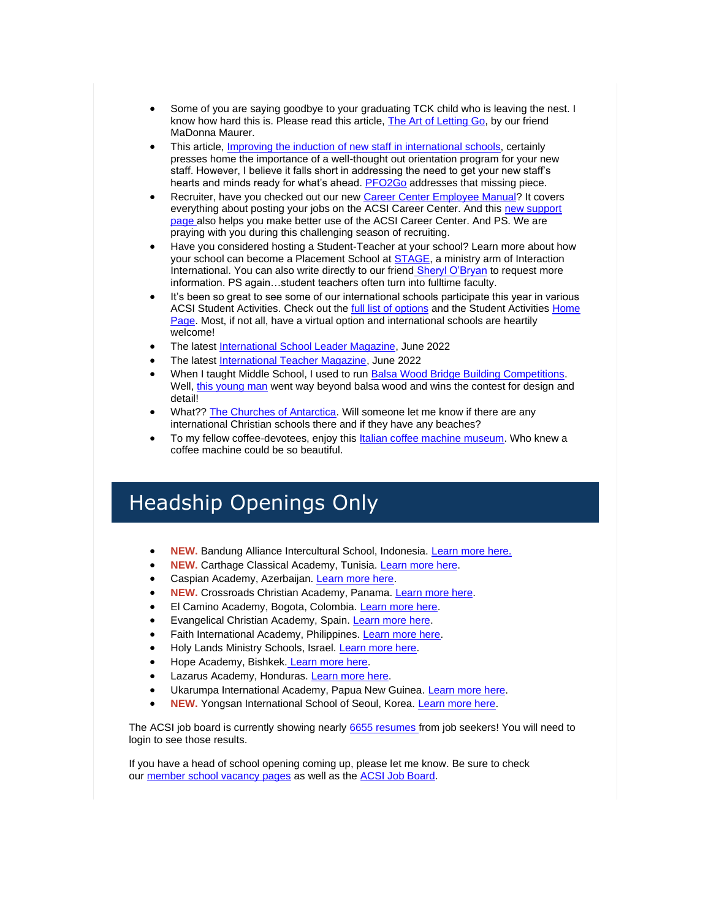- Some of you are saying goodbye to your graduating TCK child who is leaving the nest. I know how hard this is. Please read this article, [The Art of Letting Go,](http://link.acsi.org/c/7/eyJhaSI6ODcyOTMzMTMsImUiOiJ0aW1fc2h1bWFuQGFjc2kub3JnIiwicmkiOiJjb250YWN0LTViOGU4OGI4M2I2M2U4MTE4MGQwMDJiZmMwYTgwMTcyLWM0ZDhhMDJlMzY4ZjQ0YWE4YWI3ZTA0NTc5MjE0MjdmIiwicnEiOiIwMi1iMjIxNTgtNDJmNGUyMDFlZWRlNDM3ZDgwY2FlNzVhMWMyZDFmZGIiLCJwaCI6bnVsbCwibSI6dHJ1ZSwidWkiOiIyNCIsInVuIjoiIiwidSI6Imh0dHBzOi8vcmFpc2luZ3Rja3MuY29tLzIwMTcvMDkvMDgvdGhlLWFydC1vZi1sZXR0aW5nLWdvLz9fY2xkZWU9amV6Q25rLVd4bGRHUUFFTzR3a2RfOGpOZXBwNDlsZzc4TnRsemRMRnZLMDk4ZVFtOExnTDBlVnI3anNqV25laSZyZWNpcGllbnRpZD1jb250YWN0LTViOGU4OGI4M2I2M2U4MTE4MGQwMDJiZmMwYTgwMTcyLWM0ZDhhMDJlMzY4ZjQ0YWE4YWI3ZTA0NTc5MjE0MjdmJmVzaWQ9MzM3YjhmMjUtOWVlMi1lYzExLTgxMWMtMDAwZDNhMDFjZmQzIn0/xXwX3MCEh-xM2521ydIM6Q) by our friend MaDonna Maurer.
- This article, [Improving the induction of new staff in international schools,](http://link.acsi.org/c/7/eyJhaSI6ODcyOTMzMTMsImUiOiJ0aW1fc2h1bWFuQGFjc2kub3JnIiwicmkiOiJjb250YWN0LTViOGU4OGI4M2I2M2U4MTE4MGQwMDJiZmMwYTgwMTcyLWM0ZDhhMDJlMzY4ZjQ0YWE4YWI3ZTA0NTc5MjE0MjdmIiwicnEiOiIwMi1iMjIxNTgtNDJmNGUyMDFlZWRlNDM3ZDgwY2FlNzVhMWMyZDFmZGIiLCJwaCI6bnVsbCwibSI6dHJ1ZSwidWkiOiIyNSIsInVuIjoiIiwidSI6Imh0dHBzOi8vaXNjcmVzZWFyY2guY29tL2ltcHJvdmluZy10aGUtaW5kdWN0aW9uLW9mLW5ldy1zdGFmZi1pbi1pbnRlcm5hdGlvbmFsLXNjaG9vbHMvP19jbGRlZT1qZXpDbmstV3hsZEdRQUVPNHdrZF84ak5lcHA0OWxnNzhOdGx6ZExGdkswOThlUW04TGdMMGVWcjdqc2pXbmVpJnJlY2lwaWVudGlkPWNvbnRhY3QtNWI4ZTg4YjgzYjYzZTgxMTgwZDAwMmJmYzBhODAxNzItYzRkOGEwMmUzNjhmNDRhYThhYjdlMDQ1NzkyMTQyN2YmZXNpZD0zMzdiOGYyNS05ZWUyLWVjMTEtODExYy0wMDBkM2EwMWNmZDMifQ/1iZcbR3EhwjbGdLFqPaD7A) certainly presses home the importance of a well-thought out orientation program for your new staff. However, I believe it falls short in addressing the need to get your new staff's hearts and minds ready for what's ahead. **[PFO2Go](http://link.acsi.org/c/7/eyJhaSI6ODcyOTMzMTMsImUiOiJ0aW1fc2h1bWFuQGFjc2kub3JnIiwicmkiOiJjb250YWN0LTViOGU4OGI4M2I2M2U4MTE4MGQwMDJiZmMwYTgwMTcyLWM0ZDhhMDJlMzY4ZjQ0YWE4YWI3ZTA0NTc5MjE0MjdmIiwicnEiOiIwMi1iMjIxNTgtNDJmNGUyMDFlZWRlNDM3ZDgwY2FlNzVhMWMyZDFmZGIiLCJwaCI6bnVsbCwibSI6dHJ1ZSwidWkiOiIyNiIsInVuIjoiIiwidSI6Imh0dHBzOi8vd3d3LmFjc2kub3JnL2dsb2JhbC9pbnRlcm5hdGlvbmFsLXNjaG9vbHMvcGZvMmdvP19jbGRlZT1qZXpDbmstV3hsZEdRQUVPNHdrZF84ak5lcHA0OWxnNzhOdGx6ZExGdkswOThlUW04TGdMMGVWcjdqc2pXbmVpJnJlY2lwaWVudGlkPWNvbnRhY3QtNWI4ZTg4YjgzYjYzZTgxMTgwZDAwMmJmYzBhODAxNzItYzRkOGEwMmUzNjhmNDRhYThhYjdlMDQ1NzkyMTQyN2YmZXNpZD0zMzdiOGYyNS05ZWUyLWVjMTEtODExYy0wMDBkM2EwMWNmZDMifQ/n6HMrjx0yt5UKGqNtrGQ-A)** addresses that missing piece.
- Recruiter, have you checked out our new [Career Center Employee Manual?](http://link.acsi.org/c/7/eyJhaSI6ODcyOTMzMTMsImUiOiJ0aW1fc2h1bWFuQGFjc2kub3JnIiwicmkiOiJjb250YWN0LTViOGU4OGI4M2I2M2U4MTE4MGQwMDJiZmMwYTgwMTcyLWM0ZDhhMDJlMzY4ZjQ0YWE4YWI3ZTA0NTc5MjE0MjdmIiwicnEiOiIwMi1iMjIxNTgtNDJmNGUyMDFlZWRlNDM3ZDgwY2FlNzVhMWMyZDFmZGIiLCJwaCI6bnVsbCwibSI6dHJ1ZSwidWkiOiIyNyIsInVuIjoiIiwidSI6Imh0dHBzOi8vd3d3LmFjc2kub3JnL2RvY3MvZGVmYXVsdC1zb3VyY2UvZG9jdW1lbnRzL2Fjc2ktY2FyZWVyLWNlbnRlci1lbXBsb3llci1tYW51YWwucGRmPyZfY2xkZWU9amV6Q25rLVd4bGRHUUFFTzR3a2RfOGpOZXBwNDlsZzc4TnRsemRMRnZLMDk4ZVFtOExnTDBlVnI3anNqV25laSZyZWNpcGllbnRpZD1jb250YWN0LTViOGU4OGI4M2I2M2U4MTE4MGQwMDJiZmMwYTgwMTcyLWM0ZDhhMDJlMzY4ZjQ0YWE4YWI3ZTA0NTc5MjE0MjdmJmVzaWQ9MzM3YjhmMjUtOWVlMi1lYzExLTgxMWMtMDAwZDNhMDFjZmQzIn0/YJZ6b_QcKk0kjrHPSuxB5g) It covers everything about posting your jobs on the ACSI Career Center. And this [new support](http://link.acsi.org/c/7/eyJhaSI6ODcyOTMzMTMsImUiOiJ0aW1fc2h1bWFuQGFjc2kub3JnIiwicmkiOiJjb250YWN0LTViOGU4OGI4M2I2M2U4MTE4MGQwMDJiZmMwYTgwMTcyLWM0ZDhhMDJlMzY4ZjQ0YWE4YWI3ZTA0NTc5MjE0MjdmIiwicnEiOiIwMi1iMjIxNTgtNDJmNGUyMDFlZWRlNDM3ZDgwY2FlNzVhMWMyZDFmZGIiLCJwaCI6bnVsbCwibSI6dHJ1ZSwidWkiOiIyOCIsInVuIjoiIiwidSI6Imh0dHBzOi8veW1jYXJlZXJzLnplbmRlc2suY29tL2hjL2VuLXVzP19jbGRlZT1qZXpDbmstV3hsZEdRQUVPNHdrZF84ak5lcHA0OWxnNzhOdGx6ZExGdkswOThlUW04TGdMMGVWcjdqc2pXbmVpJnJlY2lwaWVudGlkPWNvbnRhY3QtNWI4ZTg4YjgzYjYzZTgxMTgwZDAwMmJmYzBhODAxNzItYzRkOGEwMmUzNjhmNDRhYThhYjdlMDQ1NzkyMTQyN2YmZXNpZD0zMzdiOGYyNS05ZWUyLWVjMTEtODExYy0wMDBkM2EwMWNmZDMifQ/opRpXVkTHgLVKgbJeQtXHg)  [page](http://link.acsi.org/c/7/eyJhaSI6ODcyOTMzMTMsImUiOiJ0aW1fc2h1bWFuQGFjc2kub3JnIiwicmkiOiJjb250YWN0LTViOGU4OGI4M2I2M2U4MTE4MGQwMDJiZmMwYTgwMTcyLWM0ZDhhMDJlMzY4ZjQ0YWE4YWI3ZTA0NTc5MjE0MjdmIiwicnEiOiIwMi1iMjIxNTgtNDJmNGUyMDFlZWRlNDM3ZDgwY2FlNzVhMWMyZDFmZGIiLCJwaCI6bnVsbCwibSI6dHJ1ZSwidWkiOiIyOCIsInVuIjoiIiwidSI6Imh0dHBzOi8veW1jYXJlZXJzLnplbmRlc2suY29tL2hjL2VuLXVzP19jbGRlZT1qZXpDbmstV3hsZEdRQUVPNHdrZF84ak5lcHA0OWxnNzhOdGx6ZExGdkswOThlUW04TGdMMGVWcjdqc2pXbmVpJnJlY2lwaWVudGlkPWNvbnRhY3QtNWI4ZTg4YjgzYjYzZTgxMTgwZDAwMmJmYzBhODAxNzItYzRkOGEwMmUzNjhmNDRhYThhYjdlMDQ1NzkyMTQyN2YmZXNpZD0zMzdiOGYyNS05ZWUyLWVjMTEtODExYy0wMDBkM2EwMWNmZDMifQ/opRpXVkTHgLVKgbJeQtXHg) also helps you make better use of the ACSI Career Center. And PS. We are praying with you during this challenging season of recruiting.
- Have you considered hosting a Student-Teacher at your school? Learn more about how your school can become a Placement School at **STAGE**, a ministry arm of Interaction International. You can also write directly to our friend [Sheryl O'Bryan](mailto:Sheryl%20O%E2%80%99Bryan%20%3csheryl.obryan@interactionintl.org%3e) to request more information. PS again…student teachers often turn into fulltime faculty.
- It's been so great to see some of our international schools participate this year in various ACSI Student Activities. Check out the [full list of options](http://link.acsi.org/c/7/eyJhaSI6ODcyOTMzMTMsImUiOiJ0aW1fc2h1bWFuQGFjc2kub3JnIiwicmkiOiJjb250YWN0LTViOGU4OGI4M2I2M2U4MTE4MGQwMDJiZmMwYTgwMTcyLWM0ZDhhMDJlMzY4ZjQ0YWE4YWI3ZTA0NTc5MjE0MjdmIiwicnEiOiIwMi1iMjIxNTgtNDJmNGUyMDFlZWRlNDM3ZDgwY2FlNzVhMWMyZDFmZGIiLCJwaCI6bnVsbCwibSI6dHJ1ZSwidWkiOiIzMCIsInVuIjoiIiwidSI6Imh0dHBzOi8vd3d3LmFjc2kub3JnL3N0dWRlbnQtYWN0aXZpdGllcy9ldmVudHM_X2NsZGVlPWplekNuay1XeGxkR1FBRU80d2tkXzhqTmVwcDQ5bGc3OE50bHpkTEZ2SzA5OGVRbThMZ0wwZVZyN2pzalduZWkmcmVjaXBpZW50aWQ9Y29udGFjdC01YjhlODhiODNiNjNlODExODBkMDAyYmZjMGE4MDE3Mi1jNGQ4YTAyZTM2OGY0NGFhOGFiN2UwNDU3OTIxNDI3ZiZlc2lkPTMzN2I4ZjI1LTllZTItZWMxMS04MTFjLTAwMGQzYTAxY2ZkMyJ9/vz05Tw3yjHP2zDt1mceOwg) and the Student Activities [Home](http://link.acsi.org/c/7/eyJhaSI6ODcyOTMzMTMsImUiOiJ0aW1fc2h1bWFuQGFjc2kub3JnIiwicmkiOiJjb250YWN0LTViOGU4OGI4M2I2M2U4MTE4MGQwMDJiZmMwYTgwMTcyLWM0ZDhhMDJlMzY4ZjQ0YWE4YWI3ZTA0NTc5MjE0MjdmIiwicnEiOiIwMi1iMjIxNTgtNDJmNGUyMDFlZWRlNDM3ZDgwY2FlNzVhMWMyZDFmZGIiLCJwaCI6bnVsbCwibSI6dHJ1ZSwidWkiOiIzMSIsInVuIjoiIiwidSI6Imh0dHBzOi8vd3d3LmFjc2kub3JnL2FjYWRlbWljLXByb2dyYW1zL3N0dWRlbnQtYWN0aXZpdGllcy9ob21lP19jbGRlZT1qZXpDbmstV3hsZEdRQUVPNHdrZF84ak5lcHA0OWxnNzhOdGx6ZExGdkswOThlUW04TGdMMGVWcjdqc2pXbmVpJnJlY2lwaWVudGlkPWNvbnRhY3QtNWI4ZTg4YjgzYjYzZTgxMTgwZDAwMmJmYzBhODAxNzItYzRkOGEwMmUzNjhmNDRhYThhYjdlMDQ1NzkyMTQyN2YmZXNpZD0zMzdiOGYyNS05ZWUyLWVjMTEtODExYy0wMDBkM2EwMWNmZDMifQ/fdH0N_TIKETCgSrzIjdNEw)  [Page.](http://link.acsi.org/c/7/eyJhaSI6ODcyOTMzMTMsImUiOiJ0aW1fc2h1bWFuQGFjc2kub3JnIiwicmkiOiJjb250YWN0LTViOGU4OGI4M2I2M2U4MTE4MGQwMDJiZmMwYTgwMTcyLWM0ZDhhMDJlMzY4ZjQ0YWE4YWI3ZTA0NTc5MjE0MjdmIiwicnEiOiIwMi1iMjIxNTgtNDJmNGUyMDFlZWRlNDM3ZDgwY2FlNzVhMWMyZDFmZGIiLCJwaCI6bnVsbCwibSI6dHJ1ZSwidWkiOiIzMSIsInVuIjoiIiwidSI6Imh0dHBzOi8vd3d3LmFjc2kub3JnL2FjYWRlbWljLXByb2dyYW1zL3N0dWRlbnQtYWN0aXZpdGllcy9ob21lP19jbGRlZT1qZXpDbmstV3hsZEdRQUVPNHdrZF84ak5lcHA0OWxnNzhOdGx6ZExGdkswOThlUW04TGdMMGVWcjdqc2pXbmVpJnJlY2lwaWVudGlkPWNvbnRhY3QtNWI4ZTg4YjgzYjYzZTgxMTgwZDAwMmJmYzBhODAxNzItYzRkOGEwMmUzNjhmNDRhYThhYjdlMDQ1NzkyMTQyN2YmZXNpZD0zMzdiOGYyNS05ZWUyLWVjMTEtODExYy0wMDBkM2EwMWNmZDMifQ/fdH0N_TIKETCgSrzIjdNEw) Most, if not all, have a virtual option and international schools are heartily welcome!
- The latest [International School Leader Magazine,](http://link.acsi.org/c/7/eyJhaSI6ODcyOTMzMTMsImUiOiJ0aW1fc2h1bWFuQGFjc2kub3JnIiwicmkiOiJjb250YWN0LTViOGU4OGI4M2I2M2U4MTE4MGQwMDJiZmMwYTgwMTcyLWM0ZDhhMDJlMzY4ZjQ0YWE4YWI3ZTA0NTc5MjE0MjdmIiwicnEiOiIwMi1iMjIxNTgtNDJmNGUyMDFlZWRlNDM3ZDgwY2FlNzVhMWMyZDFmZGIiLCJwaCI6bnVsbCwibSI6dHJ1ZSwidWkiOiIzMiIsInVuIjoiIiwidSI6Imh0dHBzOi8vd3d3LmZsaXBzbmFjay5jb20vaXNsbWFnYXppbmUvaW50ZXJuYXRpb25hbC1zY2hvb2wtbGVhZGVyLW1hZ2F6aW5lLWp1bmUtMjIuaHRtbD9fY2xkZWU9amV6Q25rLVd4bGRHUUFFTzR3a2RfOGpOZXBwNDlsZzc4TnRsemRMRnZLMDk4ZVFtOExnTDBlVnI3anNqV25laSZyZWNpcGllbnRpZD1jb250YWN0LTViOGU4OGI4M2I2M2U4MTE4MGQwMDJiZmMwYTgwMTcyLWM0ZDhhMDJlMzY4ZjQ0YWE4YWI3ZTA0NTc5MjE0MjdmJmVzaWQ9MzM3YjhmMjUtOWVlMi1lYzExLTgxMWMtMDAwZDNhMDFjZmQzIn0/Iz-njhQ8OXO9Asbabs4rkw) June 2022
- The latest [International Teacher Magazine,](http://link.acsi.org/c/7/eyJhaSI6ODcyOTMzMTMsImUiOiJ0aW1fc2h1bWFuQGFjc2kub3JnIiwicmkiOiJjb250YWN0LTViOGU4OGI4M2I2M2U4MTE4MGQwMDJiZmMwYTgwMTcyLWM0ZDhhMDJlMzY4ZjQ0YWE4YWI3ZTA0NTc5MjE0MjdmIiwicnEiOiIwMi1iMjIxNTgtNDJmNGUyMDFlZWRlNDM3ZDgwY2FlNzVhMWMyZDFmZGIiLCJwaCI6bnVsbCwibSI6dHJ1ZSwidWkiOiIzMyIsInVuIjoiIiwidSI6Imh0dHBzOi8vY29uc2lsaXVtZWR1Y2F0aW9uLmNvbS9pdG0vMjAyMi8wNS8yOC9qdW5lLTIwMjIvP19jbGRlZT1qZXpDbmstV3hsZEdRQUVPNHdrZF84ak5lcHA0OWxnNzhOdGx6ZExGdkswOThlUW04TGdMMGVWcjdqc2pXbmVpJnJlY2lwaWVudGlkPWNvbnRhY3QtNWI4ZTg4YjgzYjYzZTgxMTgwZDAwMmJmYzBhODAxNzItYzRkOGEwMmUzNjhmNDRhYThhYjdlMDQ1NzkyMTQyN2YmZXNpZD0zMzdiOGYyNS05ZWUyLWVjMTEtODExYy0wMDBkM2EwMWNmZDMifQ/pWtR0MoiXCJAVB_n8dnHkQ) June 2022
- When I taught Middle School, I used to run [Balsa Wood Bridge Building Competitions.](http://link.acsi.org/c/7/eyJhaSI6ODcyOTMzMTMsImUiOiJ0aW1fc2h1bWFuQGFjc2kub3JnIiwicmkiOiJjb250YWN0LTViOGU4OGI4M2I2M2U4MTE4MGQwMDJiZmMwYTgwMTcyLWM0ZDhhMDJlMzY4ZjQ0YWE4YWI3ZTA0NTc5MjE0MjdmIiwicnEiOiIwMi1iMjIxNTgtNDJmNGUyMDFlZWRlNDM3ZDgwY2FlNzVhMWMyZDFmZGIiLCJwaCI6bnVsbCwibSI6dHJ1ZSwidWkiOiIzNCIsInVuIjoiIiwidSI6Imh0dHBzOi8vd3d3LmZsaWNrci5jb20vcGhvdG9zLzk0NTY4MTI1QE4wNi9hbGJ1bXMvNzIxNzc3MjAyOTkxMjgxNzg_X2NsZGVlPWplekNuay1XeGxkR1FBRU80d2tkXzhqTmVwcDQ5bGc3OE50bHpkTEZ2SzA5OGVRbThMZ0wwZVZyN2pzalduZWkmcmVjaXBpZW50aWQ9Y29udGFjdC01YjhlODhiODNiNjNlODExODBkMDAyYmZjMGE4MDE3Mi1jNGQ4YTAyZTM2OGY0NGFhOGFiN2UwNDU3OTIxNDI3ZiZlc2lkPTMzN2I4ZjI1LTllZTItZWMxMS04MTFjLTAwMGQzYTAxY2ZkMyJ9/AMmQL3VcXtLpsWoXBVCf6g) Well, [this young man](http://link.acsi.org/c/7/eyJhaSI6ODcyOTMzMTMsImUiOiJ0aW1fc2h1bWFuQGFjc2kub3JnIiwicmkiOiJjb250YWN0LTViOGU4OGI4M2I2M2U4MTE4MGQwMDJiZmMwYTgwMTcyLWM0ZDhhMDJlMzY4ZjQ0YWE4YWI3ZTA0NTc5MjE0MjdmIiwicnEiOiIwMi1iMjIxNTgtNDJmNGUyMDFlZWRlNDM3ZDgwY2FlNzVhMWMyZDFmZGIiLCJwaCI6bnVsbCwibSI6dHJ1ZSwidWkiOiIzNSIsInVuIjoiIiwidSI6Imh0dHBzOi8vdHdpdHRlci5jb20vVGFuc3VZZWdlbi9zdGF0dXMvMTUyODY1NTE0NjUxMDQ1MDY4OD9fY2xkZWU9amV6Q25rLVd4bGRHUUFFTzR3a2RfOGpOZXBwNDlsZzc4TnRsemRMRnZLMDk4ZVFtOExnTDBlVnI3anNqV25laSZyZWNpcGllbnRpZD1jb250YWN0LTViOGU4OGI4M2I2M2U4MTE4MGQwMDJiZmMwYTgwMTcyLWM0ZDhhMDJlMzY4ZjQ0YWE4YWI3ZTA0NTc5MjE0MjdmJmVzaWQ9MzM3YjhmMjUtOWVlMi1lYzExLTgxMWMtMDAwZDNhMDFjZmQzIn0/aK38TO2AIrM4IJwVRQqboA) went way beyond balsa wood and wins the contest for design and detail!
- What?? [The Churches of Antarctica.](http://link.acsi.org/c/7/eyJhaSI6ODcyOTMzMTMsImUiOiJ0aW1fc2h1bWFuQGFjc2kub3JnIiwicmkiOiJjb250YWN0LTViOGU4OGI4M2I2M2U4MTE4MGQwMDJiZmMwYTgwMTcyLWM0ZDhhMDJlMzY4ZjQ0YWE4YWI3ZTA0NTc5MjE0MjdmIiwicnEiOiIwMi1iMjIxNTgtNDJmNGUyMDFlZWRlNDM3ZDgwY2FlNzVhMWMyZDFmZGIiLCJwaCI6bnVsbCwibSI6dHJ1ZSwidWkiOiIzNiIsInVuIjoiIiwidSI6Imh0dHBzOi8vd3d3LmFtdXNpbmdwbGFuZXQuY29tLzIwMjIvMDUvdGhlLWNodXJjaGVzLW9mLWFudGFyY3RpY2EuaHRtbD9fY2xkZWU9amV6Q25rLVd4bGRHUUFFTzR3a2RfOGpOZXBwNDlsZzc4TnRsemRMRnZLMDk4ZVFtOExnTDBlVnI3anNqV25laSZyZWNpcGllbnRpZD1jb250YWN0LTViOGU4OGI4M2I2M2U4MTE4MGQwMDJiZmMwYTgwMTcyLWM0ZDhhMDJlMzY4ZjQ0YWE4YWI3ZTA0NTc5MjE0MjdmJmVzaWQ9MzM3YjhmMjUtOWVlMi1lYzExLTgxMWMtMDAwZDNhMDFjZmQzIn0/-ssgw9Ei9-IOVKALERvhpQ) Will someone let me know if there are any international Christian schools there and if they have any beaches?
- To my fellow coffee-devotees, enjoy this [Italian coffee machine museum.](http://link.acsi.org/c/7/eyJhaSI6ODcyOTMzMTMsImUiOiJ0aW1fc2h1bWFuQGFjc2kub3JnIiwicmkiOiJjb250YWN0LTViOGU4OGI4M2I2M2U4MTE4MGQwMDJiZmMwYTgwMTcyLWM0ZDhhMDJlMzY4ZjQ0YWE4YWI3ZTA0NTc5MjE0MjdmIiwicnEiOiIwMi1iMjIxNTgtNDJmNGUyMDFlZWRlNDM3ZDgwY2FlNzVhMWMyZDFmZGIiLCJwaCI6bnVsbCwibSI6dHJ1ZSwidWkiOiIzNyIsInVuIjoiIiwidSI6Imh0dHBzOi8vd3d3LmVzcHJlc3NvbWFkZWluaXRhbHkuY29tL2dhbGxlcmlhLWNvbGxlemlvbmUtZW5yaWNvLW1hbHRvbmkuYXNwP19jbGRlZT1qZXpDbmstV3hsZEdRQUVPNHdrZF84ak5lcHA0OWxnNzhOdGx6ZExGdkswOThlUW04TGdMMGVWcjdqc2pXbmVpJnJlY2lwaWVudGlkPWNvbnRhY3QtNWI4ZTg4YjgzYjYzZTgxMTgwZDAwMmJmYzBhODAxNzItYzRkOGEwMmUzNjhmNDRhYThhYjdlMDQ1NzkyMTQyN2YmZXNpZD0zMzdiOGYyNS05ZWUyLWVjMTEtODExYy0wMDBkM2EwMWNmZDMifQ/vR8-nPjtawZDJ4-nPFweIQ) Who knew a coffee machine could be so beautiful.

# Headship Openings Only

- **NEW.** Bandung Alliance Intercultural School, Indonesia. [Learn more here.](http://link.acsi.org/c/7/eyJhaSI6ODcyOTMzMTMsImUiOiJ0aW1fc2h1bWFuQGFjc2kub3JnIiwicmkiOiJjb250YWN0LTViOGU4OGI4M2I2M2U4MTE4MGQwMDJiZmMwYTgwMTcyLWM0ZDhhMDJlMzY4ZjQ0YWE4YWI3ZTA0NTc5MjE0MjdmIiwicnEiOiIwMi1iMjIxNTgtNDJmNGUyMDFlZWRlNDM3ZDgwY2FlNzVhMWMyZDFmZGIiLCJwaCI6bnVsbCwibSI6dHJ1ZSwidWkiOiIzOCIsInVuIjoiIiwidSI6Imh0dHBzOi8vd3d3Lm5pY3Mub3JnL2NhcmVlci1vcHBvcnR1bml0aWVzL2JhbmR1bmctYWxsaWFuY2UtaW50ZXJuYXRpb25hbC1zY2hvb2wvYWRtaW5pc3RyYXRvci1zY2hvb2wtZGlyZWN0b3IvP19jbGRlZT1qZXpDbmstV3hsZEdRQUVPNHdrZF84ak5lcHA0OWxnNzhOdGx6ZExGdkswOThlUW04TGdMMGVWcjdqc2pXbmVpJnJlY2lwaWVudGlkPWNvbnRhY3QtNWI4ZTg4YjgzYjYzZTgxMTgwZDAwMmJmYzBhODAxNzItYzRkOGEwMmUzNjhmNDRhYThhYjdlMDQ1NzkyMTQyN2YmZXNpZD0zMzdiOGYyNS05ZWUyLWVjMTEtODExYy0wMDBkM2EwMWNmZDMifQ/M5VLLzitsIEU1Ce5pJrzMw)
- **NEW.** Carthage Classical Academy, Tunisia. [Learn more here.](http://link.acsi.org/c/7/eyJhaSI6ODcyOTMzMTMsImUiOiJ0aW1fc2h1bWFuQGFjc2kub3JnIiwicmkiOiJjb250YWN0LTViOGU4OGI4M2I2M2U4MTE4MGQwMDJiZmMwYTgwMTcyLWM0ZDhhMDJlMzY4ZjQ0YWE4YWI3ZTA0NTc5MjE0MjdmIiwicnEiOiIwMi1iMjIxNTgtNDJmNGUyMDFlZWRlNDM3ZDgwY2FlNzVhMWMyZDFmZGIiLCJwaCI6bnVsbCwibSI6dHJ1ZSwidWkiOiIzOSIsInVuIjoiIiwidSI6Imh0dHBzOi8vZG9jcy5nb29nbGUuY29tL2RvY3VtZW50L2QvMS1PVWVFcVVWbE9ObnZRTGtTUnR0LTR6Y3kxRmhJbHFxOFJ5YTNYNHZRQ0kvZWRpdD9fY2xkZWU9amV6Q25rLVd4bGRHUUFFTzR3a2RfOGpOZXBwNDlsZzc4TnRsemRMRnZLMDk4ZVFtOExnTDBlVnI3anNqV25laSZyZWNpcGllbnRpZD1jb250YWN0LTViOGU4OGI4M2I2M2U4MTE4MGQwMDJiZmMwYTgwMTcyLWM0ZDhhMDJlMzY4ZjQ0YWE4YWI3ZTA0NTc5MjE0MjdmJmVzaWQ9MzM3YjhmMjUtOWVlMi1lYzExLTgxMWMtMDAwZDNhMDFjZmQzIn0/AV-tzsXbyEdlis68eKDXrg)
- Caspian Academy, Azerbaijan. [Learn more here.](http://link.acsi.org/c/7/eyJhaSI6ODcyOTMzMTMsImUiOiJ0aW1fc2h1bWFuQGFjc2kub3JnIiwicmkiOiJjb250YWN0LTViOGU4OGI4M2I2M2U4MTE4MGQwMDJiZmMwYTgwMTcyLWM0ZDhhMDJlMzY4ZjQ0YWE4YWI3ZTA0NTc5MjE0MjdmIiwicnEiOiIwMi1iMjIxNTgtNDJmNGUyMDFlZWRlNDM3ZDgwY2FlNzVhMWMyZDFmZGIiLCJwaCI6bnVsbCwibSI6dHJ1ZSwidWkiOiI0MCIsInVuIjoiIiwidSI6Imh0dHBzOi8vd3d3Lmdsb2JhbHNjaG9vbHNlYXJjaGVzLm9yZy9sZWFkZXJzaGlwLXNlYXJjaGVzL2hlYWQtb2Ytc2Nob29sLWNhc3BpYW4tYWNhZGVteS1hemVyYmFpamFuP19jbGRlZT1qZXpDbmstV3hsZEdRQUVPNHdrZF84ak5lcHA0OWxnNzhOdGx6ZExGdkswOThlUW04TGdMMGVWcjdqc2pXbmVpJnJlY2lwaWVudGlkPWNvbnRhY3QtNWI4ZTg4YjgzYjYzZTgxMTgwZDAwMmJmYzBhODAxNzItYzRkOGEwMmUzNjhmNDRhYThhYjdlMDQ1NzkyMTQyN2YmZXNpZD0zMzdiOGYyNS05ZWUyLWVjMTEtODExYy0wMDBkM2EwMWNmZDMifQ/ZyDfKY8ZJlEWfFuSkU134g)
- **NEW.** Crossroads Christian Academy, Panama. [Learn more here.](http://link.acsi.org/c/7/eyJhaSI6ODcyOTMzMTMsImUiOiJ0aW1fc2h1bWFuQGFjc2kub3JnIiwicmkiOiJjb250YWN0LTViOGU4OGI4M2I2M2U4MTE4MGQwMDJiZmMwYTgwMTcyLWM0ZDhhMDJlMzY4ZjQ0YWE4YWI3ZTA0NTc5MjE0MjdmIiwicnEiOiIwMi1iMjIxNTgtNDJmNGUyMDFlZWRlNDM3ZDgwY2FlNzVhMWMyZDFmZGIiLCJwaCI6bnVsbCwibSI6dHJ1ZSwidWkiOiI0MSIsInVuIjoiIiwidSI6Imh0dHBzOi8vd3d3Lmdsb2JhbHNjaG9vbHNlYXJjaGVzLm9yZy9sZWFkZXJzaGlwLXNlYXJjaGVzL2RpcmVjdG9yLXBhbmFtYS1jaXR5LXBhbmFtYT9fY2xkZWU9amV6Q25rLVd4bGRHUUFFTzR3a2RfOGpOZXBwNDlsZzc4TnRsemRMRnZLMDk4ZVFtOExnTDBlVnI3anNqV25laSZyZWNpcGllbnRpZD1jb250YWN0LTViOGU4OGI4M2I2M2U4MTE4MGQwMDJiZmMwYTgwMTcyLWM0ZDhhMDJlMzY4ZjQ0YWE4YWI3ZTA0NTc5MjE0MjdmJmVzaWQ9MzM3YjhmMjUtOWVlMi1lYzExLTgxMWMtMDAwZDNhMDFjZmQzIn0/-kl26wQZOMvqLBNr-0Lf3Q)
- El Camino Academy, Bogota, Colombia. [Learn more here.](http://link.acsi.org/c/7/eyJhaSI6ODcyOTMzMTMsImUiOiJ0aW1fc2h1bWFuQGFjc2kub3JnIiwicmkiOiJjb250YWN0LTViOGU4OGI4M2I2M2U4MTE4MGQwMDJiZmMwYTgwMTcyLWM0ZDhhMDJlMzY4ZjQ0YWE4YWI3ZTA0NTc5MjE0MjdmIiwicnEiOiIwMi1iMjIxNTgtNDJmNGUyMDFlZWRlNDM3ZDgwY2FlNzVhMWMyZDFmZGIiLCJwaCI6bnVsbCwibSI6dHJ1ZSwidWkiOiI0MiIsInVuIjoiIiwidSI6Imh0dHBzOi8vd3d3Lmdsb2JhbHNjaG9vbHNlYXJjaGVzLm9yZy9sZWFkZXJzaGlwLXNlYXJjaGVzL2dlbmVyYWwtZGlyZWN0b3ItYm9nb3RhLWNvbG9tYmlhP19jbGRlZT1qZXpDbmstV3hsZEdRQUVPNHdrZF84ak5lcHA0OWxnNzhOdGx6ZExGdkswOThlUW04TGdMMGVWcjdqc2pXbmVpJnJlY2lwaWVudGlkPWNvbnRhY3QtNWI4ZTg4YjgzYjYzZTgxMTgwZDAwMmJmYzBhODAxNzItYzRkOGEwMmUzNjhmNDRhYThhYjdlMDQ1NzkyMTQyN2YmZXNpZD0zMzdiOGYyNS05ZWUyLWVjMTEtODExYy0wMDBkM2EwMWNmZDMifQ/uFuvE1YFYuZqXbDSUzS0wA)
- Evangelical Christian Academy, Spain. [Learn more here.](http://link.acsi.org/c/7/eyJhaSI6ODcyOTMzMTMsImUiOiJ0aW1fc2h1bWFuQGFjc2kub3JnIiwicmkiOiJjb250YWN0LTViOGU4OGI4M2I2M2U4MTE4MGQwMDJiZmMwYTgwMTcyLWM0ZDhhMDJlMzY4ZjQ0YWE4YWI3ZTA0NTc5MjE0MjdmIiwicnEiOiIwMi1iMjIxNTgtNDJmNGUyMDFlZWRlNDM3ZDgwY2FlNzVhMWMyZDFmZGIiLCJwaCI6bnVsbCwibSI6dHJ1ZSwidWkiOiI0MyIsInVuIjoiIiwidSI6Imh0dHBzOi8vbmV3LmVjYXNwYWluLmNvbS90aGUtZGlyZWN0b3Itb2YtdGhlLWV2YW5nZWxpY2FsLWNocmlzdGlhbi1hY2FkZW15Lz9fY2xkZWU9amV6Q25rLVd4bGRHUUFFTzR3a2RfOGpOZXBwNDlsZzc4TnRsemRMRnZLMDk4ZVFtOExnTDBlVnI3anNqV25laSZyZWNpcGllbnRpZD1jb250YWN0LTViOGU4OGI4M2I2M2U4MTE4MGQwMDJiZmMwYTgwMTcyLWM0ZDhhMDJlMzY4ZjQ0YWE4YWI3ZTA0NTc5MjE0MjdmJmVzaWQ9MzM3YjhmMjUtOWVlMi1lYzExLTgxMWMtMDAwZDNhMDFjZmQzIn0/ALGcadENlaAzwfPum1rccQ)
- Faith International Academy, Philippines. [Learn more here.](http://link.acsi.org/c/7/eyJhaSI6ODcyOTMzMTMsImUiOiJ0aW1fc2h1bWFuQGFjc2kub3JnIiwicmkiOiJjb250YWN0LTViOGU4OGI4M2I2M2U4MTE4MGQwMDJiZmMwYTgwMTcyLWM0ZDhhMDJlMzY4ZjQ0YWE4YWI3ZTA0NTc5MjE0MjdmIiwicnEiOiIwMi1iMjIxNTgtNDJmNGUyMDFlZWRlNDM3ZDgwY2FlNzVhMWMyZDFmZGIiLCJwaCI6bnVsbCwibSI6dHJ1ZSwidWkiOiI0NCIsInVuIjoiIiwidSI6Imh0dHBzOi8vZG9jcy5nb29nbGUuY29tL2RvY3VtZW50L2QvMVk4Slk0LV9UbmdOWE9lZkt3Um8wY0xRd293ZDdRX1ZmdVFPUmJOQ3h2M00vZWRpdD9fY2xkZWU9amV6Q25rLVd4bGRHUUFFTzR3a2RfOGpOZXBwNDlsZzc4TnRsemRMRnZLMDk4ZVFtOExnTDBlVnI3anNqV25laSZyZWNpcGllbnRpZD1jb250YWN0LTViOGU4OGI4M2I2M2U4MTE4MGQwMDJiZmMwYTgwMTcyLWM0ZDhhMDJlMzY4ZjQ0YWE4YWI3ZTA0NTc5MjE0MjdmJmVzaWQ9MzM3YjhmMjUtOWVlMi1lYzExLTgxMWMtMDAwZDNhMDFjZmQzIn0/xDAy7MHq4fq48VzHGPeTOA)
- Holy Lands Ministry Schools, Israel. [Learn more here.](http://link.acsi.org/c/7/eyJhaSI6ODcyOTMzMTMsImUiOiJ0aW1fc2h1bWFuQGFjc2kub3JnIiwicmkiOiJjb250YWN0LTViOGU4OGI4M2I2M2U4MTE4MGQwMDJiZmMwYTgwMTcyLWM0ZDhhMDJlMzY4ZjQ0YWE4YWI3ZTA0NTc5MjE0MjdmIiwicnEiOiIwMi1iMjIxNTgtNDJmNGUyMDFlZWRlNDM3ZDgwY2FlNzVhMWMyZDFmZGIiLCJwaCI6bnVsbCwibSI6dHJ1ZSwidWkiOiI0NSIsInVuIjoiIiwidSI6Imh0dHBzOi8vd3d3Lmdsb2JhbHNjaG9vbHNlYXJjaGVzLm9yZy9sZWFkZXJzaGlwLXNlYXJjaGVzL2V4ZWN1dGl2ZS1kaXJlY3Rvci1ob2x5LWxhbmQtbWluaXN0cmllcy1zY2hvb2xzLXBhbGVzdGluZT9fY2xkZWU9amV6Q25rLVd4bGRHUUFFTzR3a2RfOGpOZXBwNDlsZzc4TnRsemRMRnZLMDk4ZVFtOExnTDBlVnI3anNqV25laSZyZWNpcGllbnRpZD1jb250YWN0LTViOGU4OGI4M2I2M2U4MTE4MGQwMDJiZmMwYTgwMTcyLWM0ZDhhMDJlMzY4ZjQ0YWE4YWI3ZTA0NTc5MjE0MjdmJmVzaWQ9MzM3YjhmMjUtOWVlMi1lYzExLTgxMWMtMDAwZDNhMDFjZmQzIn0/HrdmJDd31-jGlAFJdFKEzQ)
- Hope Academy, Bishkek. [Learn more here.](http://link.acsi.org/c/7/eyJhaSI6ODcyOTMzMTMsImUiOiJ0aW1fc2h1bWFuQGFjc2kub3JnIiwicmkiOiJjb250YWN0LTViOGU4OGI4M2I2M2U4MTE4MGQwMDJiZmMwYTgwMTcyLWM0ZDhhMDJlMzY4ZjQ0YWE4YWI3ZTA0NTc5MjE0MjdmIiwicnEiOiIwMi1iMjIxNTgtNDJmNGUyMDFlZWRlNDM3ZDgwY2FlNzVhMWMyZDFmZGIiLCJwaCI6bnVsbCwibSI6dHJ1ZSwidWkiOiI0NiIsInVuIjoiIiwidSI6Imh0dHBzOi8vd3d3Lmdsb2JhbHNjaG9vbHNlYXJjaGVzLm9yZy9sZWFkZXJzaGlwLXNlYXJjaGVzL2RpcmVjdG9yLWJpc2hrZWsta3lyZ3l6LXJlcHVibGljP19jbGRlZT1qZXpDbmstV3hsZEdRQUVPNHdrZF84ak5lcHA0OWxnNzhOdGx6ZExGdkswOThlUW04TGdMMGVWcjdqc2pXbmVpJnJlY2lwaWVudGlkPWNvbnRhY3QtNWI4ZTg4YjgzYjYzZTgxMTgwZDAwMmJmYzBhODAxNzItYzRkOGEwMmUzNjhmNDRhYThhYjdlMDQ1NzkyMTQyN2YmZXNpZD0zMzdiOGYyNS05ZWUyLWVjMTEtODExYy0wMDBkM2EwMWNmZDMifQ/60kGM4nGCihICZLSw0SADA)
- Lazarus Academy, Honduras. [Learn more here.](http://link.acsi.org/c/7/eyJhaSI6ODcyOTMzMTMsImUiOiJ0aW1fc2h1bWFuQGFjc2kub3JnIiwicmkiOiJjb250YWN0LTViOGU4OGI4M2I2M2U4MTE4MGQwMDJiZmMwYTgwMTcyLWM0ZDhhMDJlMzY4ZjQ0YWE4YWI3ZTA0NTc5MjE0MjdmIiwicnEiOiIwMi1iMjIxNTgtNDJmNGUyMDFlZWRlNDM3ZDgwY2FlNzVhMWMyZDFmZGIiLCJwaCI6bnVsbCwibSI6dHJ1ZSwidWkiOiI0NyIsInVuIjoiIiwidSI6Imh0dHBzOi8vd3d3Lm1pc3Npb25sYXphcnVzLm9yZy9jYXJlZXJzL2pvYnMvam9iLXBvc3QtZGVmYXVsdC9-Ym9hcmQvam9iLXBvc3RzcHVlc3Rvcy1kZS1jYXJyZXJhL3Bvc3QvaGVhZC1vZi1zY2hvb2w_X2NsZGVlPWplekNuay1XeGxkR1FBRU80d2tkXzhqTmVwcDQ5bGc3OE50bHpkTEZ2SzA5OGVRbThMZ0wwZVZyN2pzalduZWkmcmVjaXBpZW50aWQ9Y29udGFjdC01YjhlODhiODNiNjNlODExODBkMDAyYmZjMGE4MDE3Mi1jNGQ4YTAyZTM2OGY0NGFhOGFiN2UwNDU3OTIxNDI3ZiZlc2lkPTMzN2I4ZjI1LTllZTItZWMxMS04MTFjLTAwMGQzYTAxY2ZkMyJ9/HzqqlE9s6WD9tzYKZYxU0A)
- Ukarumpa International Academy, Papua New Guinea. [Learn more here.](http://link.acsi.org/c/7/eyJhaSI6ODcyOTMzMTMsImUiOiJ0aW1fc2h1bWFuQGFjc2kub3JnIiwicmkiOiJjb250YWN0LTViOGU4OGI4M2I2M2U4MTE4MGQwMDJiZmMwYTgwMTcyLWM0ZDhhMDJlMzY4ZjQ0YWE4YWI3ZTA0NTc5MjE0MjdmIiwicnEiOiIwMi1iMjIxNTgtNDJmNGUyMDFlZWRlNDM3ZDgwY2FlNzVhMWMyZDFmZGIiLCJwaCI6bnVsbCwibSI6dHJ1ZSwidWkiOiI0OCIsInVuIjoiIiwidSI6Imh0dHBzOi8vdWthcnVtcGFpbnRlcm5hdGlvbmFsc2Nob29sLm9yZy9zZXJ2ZS1hdC11aXMvP19jbGRlZT1qZXpDbmstV3hsZEdRQUVPNHdrZF84ak5lcHA0OWxnNzhOdGx6ZExGdkswOThlUW04TGdMMGVWcjdqc2pXbmVpJnJlY2lwaWVudGlkPWNvbnRhY3QtNWI4ZTg4YjgzYjYzZTgxMTgwZDAwMmJmYzBhODAxNzItYzRkOGEwMmUzNjhmNDRhYThhYjdlMDQ1NzkyMTQyN2YmZXNpZD0zMzdiOGYyNS05ZWUyLWVjMTEtODExYy0wMDBkM2EwMWNmZDMifQ/hDljI2c0p7vcWcKwlvWW_w)
- **NEW.** Yongsan International School of Seoul, Korea. [Learn more here.](http://link.acsi.org/c/7/eyJhaSI6ODcyOTMzMTMsImUiOiJ0aW1fc2h1bWFuQGFjc2kub3JnIiwicmkiOiJjb250YWN0LTViOGU4OGI4M2I2M2U4MTE4MGQwMDJiZmMwYTgwMTcyLWM0ZDhhMDJlMzY4ZjQ0YWE4YWI3ZTA0NTc5MjE0MjdmIiwicnEiOiIwMi1iMjIxNTgtNDJmNGUyMDFlZWRlNDM3ZDgwY2FlNzVhMWMyZDFmZGIiLCJwaCI6bnVsbCwibSI6dHJ1ZSwidWkiOiI0OSIsInVuIjoiIiwidSI6Imh0dHBzOi8vd3d3Lm5pY3Mub3JnL2NhcmVlci1vcHBvcnR1bml0aWVzL3lvbmdzYW4taW50ZXJuYXRpb25hbC1zY2hvb2wvYWRtaW5pc3RyYXRvci1zY2hvb2wtZGlyZWN0b3IvP19jbGRlZT1qZXpDbmstV3hsZEdRQUVPNHdrZF84ak5lcHA0OWxnNzhOdGx6ZExGdkswOThlUW04TGdMMGVWcjdqc2pXbmVpJnJlY2lwaWVudGlkPWNvbnRhY3QtNWI4ZTg4YjgzYjYzZTgxMTgwZDAwMmJmYzBhODAxNzItYzRkOGEwMmUzNjhmNDRhYThhYjdlMDQ1NzkyMTQyN2YmZXNpZD0zMzdiOGYyNS05ZWUyLWVjMTEtODExYy0wMDBkM2EwMWNmZDMifQ/9BnoOSnpCBrn_xHHkvUqYg)

The ACSI job board is currently showing nearly [6655 resumes](http://link.acsi.org/c/7/eyJhaSI6ODcyOTMzMTMsImUiOiJ0aW1fc2h1bWFuQGFjc2kub3JnIiwicmkiOiJjb250YWN0LTViOGU4OGI4M2I2M2U4MTE4MGQwMDJiZmMwYTgwMTcyLWM0ZDhhMDJlMzY4ZjQ0YWE4YWI3ZTA0NTc5MjE0MjdmIiwicnEiOiIwMi1iMjIxNTgtNDJmNGUyMDFlZWRlNDM3ZDgwY2FlNzVhMWMyZDFmZGIiLCJwaCI6bnVsbCwibSI6dHJ1ZSwidWkiOiI1MCIsInVuIjoiIiwidSI6Imh0dHBzOi8vY2FyZWVycy5hY3NpLm9yZy9lbXBsb3llci9yZXN1bWVzL3Jlc3VsdHMvP19jbGRlZT1qZXpDbmstV3hsZEdRQUVPNHdrZF84ak5lcHA0OWxnNzhOdGx6ZExGdkswOThlUW04TGdMMGVWcjdqc2pXbmVpJnJlY2lwaWVudGlkPWNvbnRhY3QtNWI4ZTg4YjgzYjYzZTgxMTgwZDAwMmJmYzBhODAxNzItYzRkOGEwMmUzNjhmNDRhYThhYjdlMDQ1NzkyMTQyN2YmZXNpZD0zMzdiOGYyNS05ZWUyLWVjMTEtODExYy0wMDBkM2EwMWNmZDMifQ/JsFxzqvdpuyXiasLM15nQA) from job seekers! You will need to login to see those results.

If you have a head of school opening coming up, please let me know. Be sure to check our [member school vacancy pages](http://link.acsi.org/c/7/eyJhaSI6ODcyOTMzMTMsImUiOiJ0aW1fc2h1bWFuQGFjc2kub3JnIiwicmkiOiJjb250YWN0LTViOGU4OGI4M2I2M2U4MTE4MGQwMDJiZmMwYTgwMTcyLWM0ZDhhMDJlMzY4ZjQ0YWE4YWI3ZTA0NTc5MjE0MjdmIiwicnEiOiIwMi1iMjIxNTgtNDJmNGUyMDFlZWRlNDM3ZDgwY2FlNzVhMWMyZDFmZGIiLCJwaCI6bnVsbCwibSI6dHJ1ZSwidWkiOiI1MSIsInVuIjoiIiwidSI6Imh0dHBzOi8vY29tbXVuaXR5LmFjc2kub3JnL2dsb2JhbC9pbnRlcm5hdGlvbmFsL2lzai12YWM_X2NsZGVlPWplekNuay1XeGxkR1FBRU80d2tkXzhqTmVwcDQ5bGc3OE50bHpkTEZ2SzA5OGVRbThMZ0wwZVZyN2pzalduZWkmcmVjaXBpZW50aWQ9Y29udGFjdC01YjhlODhiODNiNjNlODExODBkMDAyYmZjMGE4MDE3Mi1jNGQ4YTAyZTM2OGY0NGFhOGFiN2UwNDU3OTIxNDI3ZiZlc2lkPTMzN2I4ZjI1LTllZTItZWMxMS04MTFjLTAwMGQzYTAxY2ZkMyJ9/GEkCo5nkBxc0pRAfm48knA) as well as the [ACSI Job Board.](http://link.acsi.org/c/7/eyJhaSI6ODcyOTMzMTMsImUiOiJ0aW1fc2h1bWFuQGFjc2kub3JnIiwicmkiOiJjb250YWN0LTViOGU4OGI4M2I2M2U4MTE4MGQwMDJiZmMwYTgwMTcyLWM0ZDhhMDJlMzY4ZjQ0YWE4YWI3ZTA0NTc5MjE0MjdmIiwicnEiOiIwMi1iMjIxNTgtNDJmNGUyMDFlZWRlNDM3ZDgwY2FlNzVhMWMyZDFmZGIiLCJwaCI6bnVsbCwibSI6dHJ1ZSwidWkiOiI1MiIsInVuIjoiIiwidSI6Imh0dHBzOi8vY2FyZWVycy5hY3NpLm9yZy8_X2NsZGVlPWplekNuay1XeGxkR1FBRU80d2tkXzhqTmVwcDQ5bGc3OE50bHpkTEZ2SzA5OGVRbThMZ0wwZVZyN2pzalduZWkmcmVjaXBpZW50aWQ9Y29udGFjdC01YjhlODhiODNiNjNlODExODBkMDAyYmZjMGE4MDE3Mi1jNGQ4YTAyZTM2OGY0NGFhOGFiN2UwNDU3OTIxNDI3ZiZlc2lkPTMzN2I4ZjI1LTllZTItZWMxMS04MTFjLTAwMGQzYTAxY2ZkMyJ9/MnlJIaTyWE08EncaSvsiIg)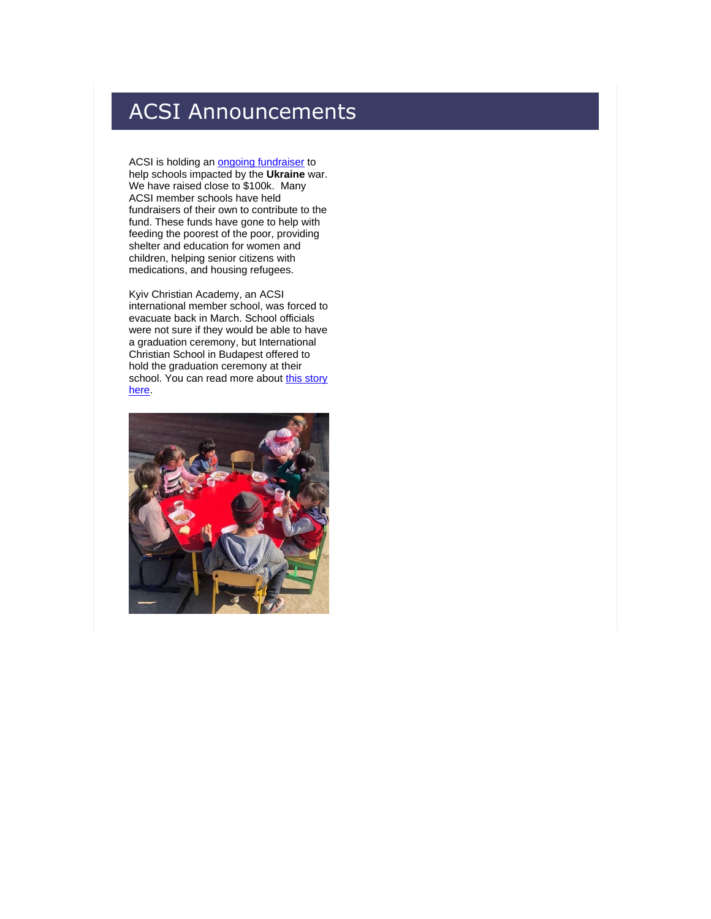# ACSI Announcements

ACSI is holding an [ongoing fundraiser](http://link.acsi.org/c/7/eyJhaSI6ODcyOTMzMTMsImUiOiJ0aW1fc2h1bWFuQGFjc2kub3JnIiwicmkiOiJjb250YWN0LTViOGU4OGI4M2I2M2U4MTE4MGQwMDJiZmMwYTgwMTcyLWM0ZDhhMDJlMzY4ZjQ0YWE4YWI3ZTA0NTc5MjE0MjdmIiwicnEiOiIwMi1iMjIxNTgtNDJmNGUyMDFlZWRlNDM3ZDgwY2FlNzVhMWMyZDFmZGIiLCJwaCI6bnVsbCwibSI6dHJ1ZSwidWkiOiI1MyIsInVuIjoiIiwidSI6Imh0dHBzOi8vYWNzaS5naXZlY2xvdWQuY28vdWtyYWluZT91dG1fY2FtcGFpZ249RG9uYXRlX1VrcmFpbmUmdXRtX21lZGl1bT1IZXJvQmFubmVyJnV0bV9zb3VyY2U9QUNTSV9Ib21lJl9jbGRlZT1qZXpDbmstV3hsZEdRQUVPNHdrZF84ak5lcHA0OWxnNzhOdGx6ZExGdkswOThlUW04TGdMMGVWcjdqc2pXbmVpJnJlY2lwaWVudGlkPWNvbnRhY3QtNWI4ZTg4YjgzYjYzZTgxMTgwZDAwMmJmYzBhODAxNzItYzRkOGEwMmUzNjhmNDRhYThhYjdlMDQ1NzkyMTQyN2YmZXNpZD0zMzdiOGYyNS05ZWUyLWVjMTEtODExYy0wMDBkM2EwMWNmZDMifQ/eX_hq8-AGRbahqiVwM1Ung) to help schools impacted by the **Ukraine** war. We have raised close to \$100k. Many ACSI member schools have held fundraisers of their own to contribute to the fund. These funds have gone to help with feeding the poorest of the poor, providing shelter and education for women and children, helping senior citizens with medications, and housing refugees.

Kyiv Christian Academy, an ACSI international member school, was forced to evacuate back in March. School officials were not sure if they would be able to have a graduation ceremony, but International Christian School in Budapest offered to hold the graduation ceremony at their school. You can read more about this story [here.](http://link.acsi.org/c/7/eyJhaSI6ODcyOTMzMTMsImUiOiJ0aW1fc2h1bWFuQGFjc2kub3JnIiwicmkiOiJjb250YWN0LTViOGU4OGI4M2I2M2U4MTE4MGQwMDJiZmMwYTgwMTcyLWM0ZDhhMDJlMzY4ZjQ0YWE4YWI3ZTA0NTc5MjE0MjdmIiwicnEiOiIwMi1iMjIxNTgtNDJmNGUyMDFlZWRlNDM3ZDgwY2FlNzVhMWMyZDFmZGIiLCJwaCI6bnVsbCwibSI6dHJ1ZSwidWkiOiI1NCIsInVuIjoiIiwidSI6Imh0dHBzOi8vd3d3LmFjc2kub3JnL3N0b3JpZXMva3lpdi1jaHJpc3RpYW4tYWNhZGVteS1ncmFkdWF0aW9uP19jbGRlZT1qZXpDbmstV3hsZEdRQUVPNHdrZF84ak5lcHA0OWxnNzhOdGx6ZExGdkswOThlUW04TGdMMGVWcjdqc2pXbmVpJnJlY2lwaWVudGlkPWNvbnRhY3QtNWI4ZTg4YjgzYjYzZTgxMTgwZDAwMmJmYzBhODAxNzItYzRkOGEwMmUzNjhmNDRhYThhYjdlMDQ1NzkyMTQyN2YmZXNpZD0zMzdiOGYyNS05ZWUyLWVjMTEtODExYy0wMDBkM2EwMWNmZDMifQ/wM3ze26OzIC0B6Wge6dYJQ)

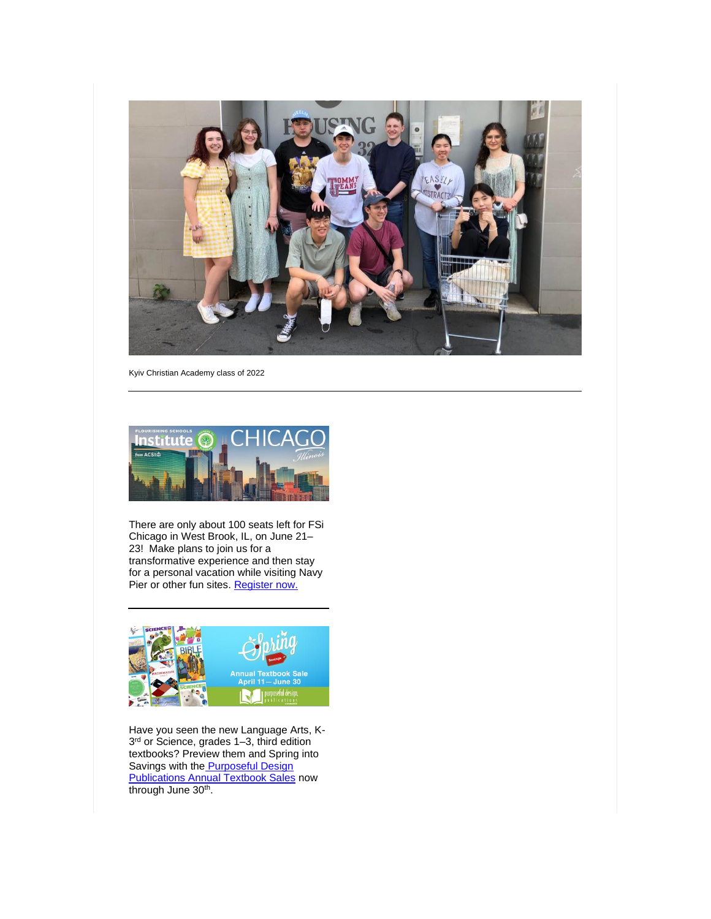

Kyiv Christian Academy class of 2022



There are only about 100 seats left for FSi Chicago in West Brook, IL, on June 21– 23! Make plans to join us for a transformative experience and then stay for a personal vacation while visiting Navy Pier or other fun sites. [Register now.](http://link.acsi.org/c/7/eyJhaSI6ODcyOTMzMTMsImUiOiJ0aW1fc2h1bWFuQGFjc2kub3JnIiwicmkiOiJjb250YWN0LTViOGU4OGI4M2I2M2U4MTE4MGQwMDJiZmMwYTgwMTcyLWM0ZDhhMDJlMzY4ZjQ0YWE4YWI3ZTA0NTc5MjE0MjdmIiwicnEiOiIwMi1iMjIxNTgtNDJmNGUyMDFlZWRlNDM3ZDgwY2FlNzVhMWMyZDFmZGIiLCJwaCI6bnVsbCwibSI6dHJ1ZSwidWkiOiI1NyIsInVuIjoiIiwidSI6Imh0dHBzOi8vd3d3LmFjc2kub3JnL2Zsb3VyaXNoaW5nLXNjaG9vbHMtaW5zdGl0dXRlP19jbGRlZT1qZXpDbmstV3hsZEdRQUVPNHdrZF84ak5lcHA0OWxnNzhOdGx6ZExGdkswOThlUW04TGdMMGVWcjdqc2pXbmVpJnJlY2lwaWVudGlkPWNvbnRhY3QtNWI4ZTg4YjgzYjYzZTgxMTgwZDAwMmJmYzBhODAxNzItYzRkOGEwMmUzNjhmNDRhYThhYjdlMDQ1NzkyMTQyN2YmZXNpZD0zMzdiOGYyNS05ZWUyLWVjMTEtODExYy0wMDBkM2EwMWNmZDMifQ/gBHzmynS_H6thvfqGzDm0A)



Have you seen the new Language Arts, K-3 rd or Science, grades 1–3, third edition textbooks? Preview them and Spring into Savings with the **Purposeful Design [Publications Annual Textbook Sales](http://link.acsi.org/c/7/eyJhaSI6ODcyOTMzMTMsImUiOiJ0aW1fc2h1bWFuQGFjc2kub3JnIiwicmkiOiJjb250YWN0LTViOGU4OGI4M2I2M2U4MTE4MGQwMDJiZmMwYTgwMTcyLWM0ZDhhMDJlMzY4ZjQ0YWE4YWI3ZTA0NTc5MjE0MjdmIiwicnEiOiIwMi1iMjIxNTgtNDJmNGUyMDFlZWRlNDM3ZDgwY2FlNzVhMWMyZDFmZGIiLCJwaCI6bnVsbCwibSI6dHJ1ZSwidWkiOiI2MCIsInVuIjoiIiwidSI6Imh0dHBzOi8veW91ci5hY3NpLm9yZy9zcHJpbmdzYXZpbmdzP19jbGRlZT1qZXpDbmstV3hsZEdRQUVPNHdrZF84ak5lcHA0OWxnNzhOdGx6ZExGdkswOThlUW04TGdMMGVWcjdqc2pXbmVpJnJlY2lwaWVudGlkPWNvbnRhY3QtNWI4ZTg4YjgzYjYzZTgxMTgwZDAwMmJmYzBhODAxNzItYzRkOGEwMmUzNjhmNDRhYThhYjdlMDQ1NzkyMTQyN2YmZXNpZD0zMzdiOGYyNS05ZWUyLWVjMTEtODExYy0wMDBkM2EwMWNmZDMifQ/6aoXIitNV-311rZFrhWDbA) now** through June 30<sup>th</sup>.